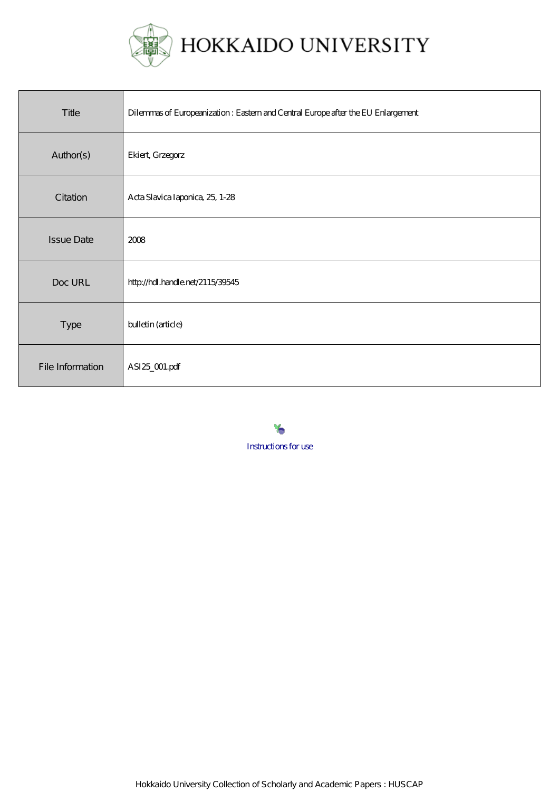

| Title             | Dilemmas of Europeanization: Eastem and Central Europe after the EU Enlargement |
|-------------------|---------------------------------------------------------------------------------|
| Author(s)         | Ekiert, Grzegorz                                                                |
| Citation          | Acta Slavica Iaponica, 25, 1-28                                                 |
| <b>Issue Date</b> | 2008                                                                            |
| Doc URL           | http://hdl.handle.net/2115/39545                                                |
| Type              | bulletin (article)                                                              |
| File Information  | ASI25_001.pdf                                                                   |

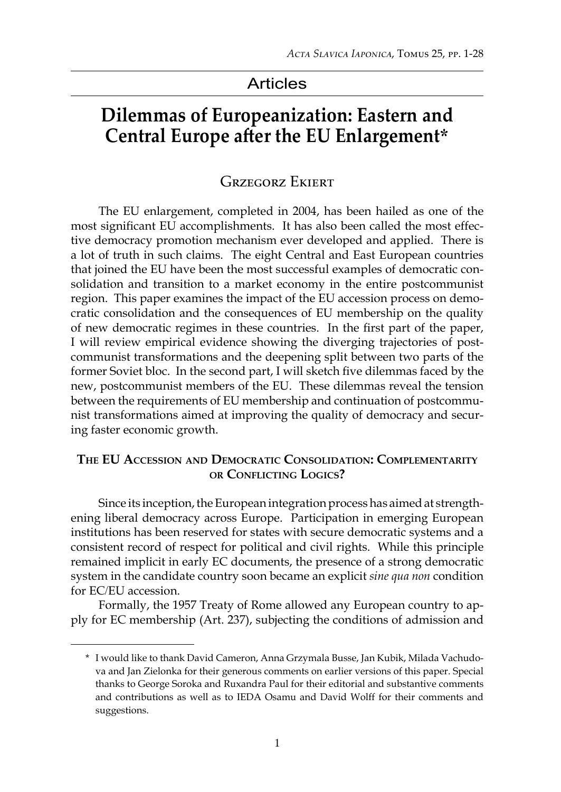# Articles

# **Dilemmas of Europeanization: Eastern and Central Europe after the EU Enlargement\***

# Grzegorz Ekiert

The EU enlargement, completed in 2004, has been hailed as one of the most significant EU accomplishments. It has also been called the most effective democracy promotion mechanism ever developed and applied. There is a lot of truth in such claims. The eight Central and East European countries that joined the EU have been the most successful examples of democratic consolidation and transition to a market economy in the entire postcommunist region. This paper examines the impact of the EU accession process on democratic consolidation and the consequences of EU membership on the quality of new democratic regimes in these countries. In the first part of the paper, I will review empirical evidence showing the diverging trajectories of postcommunist transformations and the deepening split between two parts of the former Soviet bloc. In the second part, I will sketch five dilemmas faced by the new, postcommunist members of the EU. These dilemmas reveal the tension between the requirements of EU membership and continuation of postcommunist transformations aimed at improving the quality of democracy and securing faster economic growth.

## **The EU Accession and Democratic Consolidation: Complementarity or Conflicting Logics?**

Since its inception, the European integration process has aimed at strengthening liberal democracy across Europe. Participation in emerging European institutions has been reserved for states with secure democratic systems and a consistent record of respect for political and civil rights. While this principle remained implicit in early EC documents, the presence of a strong democratic system in the candidate country soon became an explicit *sine qua non* condition for EC/EU accession.

Formally, the 1957 Treaty of Rome allowed any European country to apply for EC membership (Art. 237), subjecting the conditions of admission and

<sup>\*</sup> I would like to thank David Cameron, Anna Grzymala Busse, Jan Kubik, Milada Vachudova and Jan Zielonka for their generous comments on earlier versions of this paper. Special thanks to George Soroka and Ruxandra Paul for their editorial and substantive comments and contributions as well as to IEDA Osamu and David Wolff for their comments and suggestions.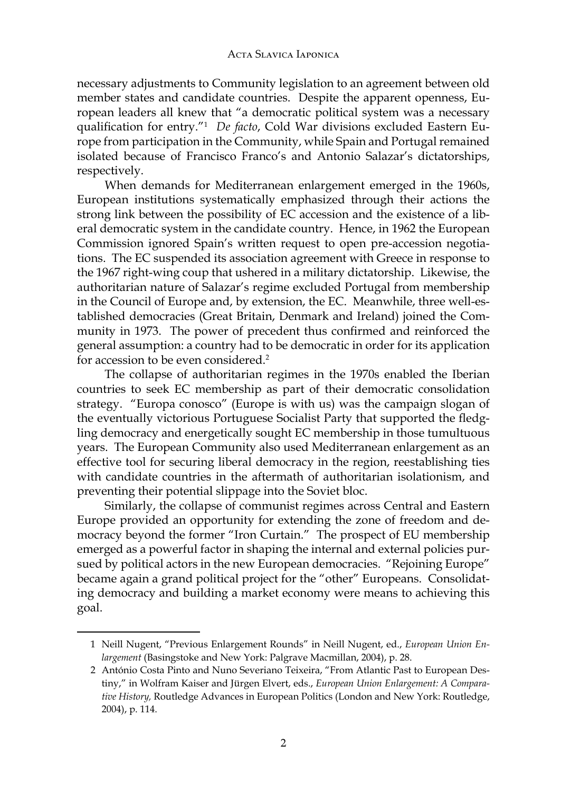necessary adjustments to Community legislation to an agreement between old member states and candidate countries. Despite the apparent openness, European leaders all knew that "a democratic political system was a necessary qualification for entry."<sup>1</sup> *De facto*, Cold War divisions excluded Eastern Europe from participation in the Community, while Spain and Portugal remained isolated because of Francisco Franco's and Antonio Salazar's dictatorships, respectively.

When demands for Mediterranean enlargement emerged in the 1960s, European institutions systematically emphasized through their actions the strong link between the possibility of EC accession and the existence of a liberal democratic system in the candidate country. Hence, in 1962 the European Commission ignored Spain's written request to open pre-accession negotiations. The EC suspended its association agreement with Greece in response to the 1967 right-wing coup that ushered in a military dictatorship. Likewise, the authoritarian nature of Salazar's regime excluded Portugal from membership in the Council of Europe and, by extension, the EC. Meanwhile, three well-established democracies (Great Britain, Denmark and Ireland) joined the Community in 1973. The power of precedent thus confirmed and reinforced the general assumption: a country had to be democratic in order for its application for accession to be even considered.<sup>2</sup>

The collapse of authoritarian regimes in the 1970s enabled the Iberian countries to seek EC membership as part of their democratic consolidation strategy. "Europa conosco" (Europe is with us) was the campaign slogan of the eventually victorious Portuguese Socialist Party that supported the fledgling democracy and energetically sought EC membership in those tumultuous years. The European Community also used Mediterranean enlargement as an effective tool for securing liberal democracy in the region, reestablishing ties with candidate countries in the aftermath of authoritarian isolationism, and preventing their potential slippage into the Soviet bloc.

Similarly, the collapse of communist regimes across Central and Eastern Europe provided an opportunity for extending the zone of freedom and democracy beyond the former "Iron Curtain." The prospect of EU membership emerged as a powerful factor in shaping the internal and external policies pursued by political actors in the new European democracies. "Rejoining Europe" became again a grand political project for the "other" Europeans. Consolidating democracy and building a market economy were means to achieving this goal.

<sup>1</sup> Neill Nugent, "Previous Enlargement Rounds" in Neill Nugent, ed., *European Union Enlargement* (Basingstoke and New York: Palgrave Macmillan, 2004), p. 28.

<sup>2</sup> António Costa Pinto and Nuno Severiano Teixeira, "From Atlantic Past to European Destiny," in Wolfram Kaiser and Jürgen Elvert, eds., *European Union Enlargement: A Comparative History,* Routledge Advances in European Politics (London and New York: Routledge, 2004), p. 114.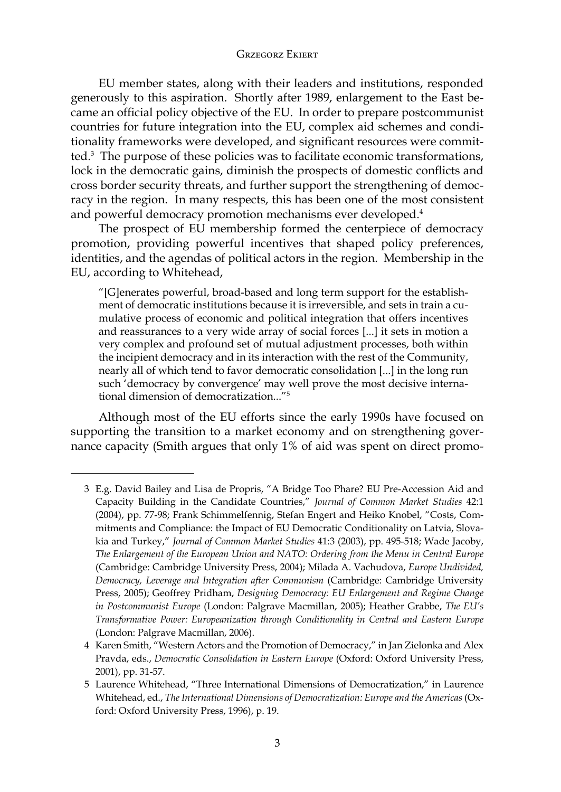EU member states, along with their leaders and institutions, responded generously to this aspiration. Shortly after 1989, enlargement to the East became an official policy objective of the EU. In order to prepare postcommunist countries for future integration into the EU, complex aid schemes and conditionality frameworks were developed, and significant resources were committed.3 The purpose of these policies was to facilitate economic transformations, lock in the democratic gains, diminish the prospects of domestic conflicts and cross border security threats, and further support the strengthening of democracy in the region. In many respects, this has been one of the most consistent and powerful democracy promotion mechanisms ever developed.<sup>4</sup>

The prospect of EU membership formed the centerpiece of democracy promotion, providing powerful incentives that shaped policy preferences, identities, and the agendas of political actors in the region. Membership in the EU, according to Whitehead,

"[G]enerates powerful, broad-based and long term support for the establishment of democratic institutions because it is irreversible, and sets in train a cumulative process of economic and political integration that offers incentives and reassurances to a very wide array of social forces [...] it sets in motion a very complex and profound set of mutual adjustment processes, both within the incipient democracy and in its interaction with the rest of the Community, nearly all of which tend to favor democratic consolidation [...] in the long run such 'democracy by convergence' may well prove the most decisive international dimension of democratization..."<sup>5</sup>

Although most of the EU efforts since the early 1990s have focused on supporting the transition to a market economy and on strengthening governance capacity (Smith argues that only 1% of aid was spent on direct promo-

<sup>3</sup> E.g. David Bailey and Lisa de Propris, "A Bridge Too Phare? EU Pre-Accession Aid and Capacity Building in the Candidate Countries," *Journal of Common Market Studies* 42:1 (2004), pp. 77-98; Frank Schimmelfennig, Stefan Engert and Heiko Knobel, "Costs, Commitments and Compliance: the Impact of EU Democratic Conditionality on Latvia, Slovakia and Turkey," *Journal of Common Market Studies* 41:3 (2003), pp. 495-518; Wade Jacoby, *The Enlargement of the European Union and NATO: Ordering from the Menu in Central Europe* (Cambridge: Cambridge University Press, 2004); Milada A. Vachudova, *Europe Undivided, Democracy, Leverage and Integration after Communism* (Cambridge: Cambridge University Press, 2005); Geoffrey Pridham, *Designing Democracy: EU Enlargement and Regime Change in Postcommunist Europe* (London: Palgrave Macmillan, 2005); Heather Grabbe, *The EU's Transformative Power: Europeanization through Conditionality in Central and Eastern Europe* (London: Palgrave Macmillan, 2006).

<sup>4</sup> Karen Smith, "Western Actors and the Promotion of Democracy," in Jan Zielonka and Alex Pravda, eds., *Democratic Consolidation in Eastern Europe* (Oxford: Oxford University Press, 2001), pp. 31-57.

<sup>5</sup> Laurence Whitehead, "Three International Dimensions of Democratization," in Laurence Whitehead, ed., *The International Dimensions of Democratization: Europe and the Americas* (Oxford: Oxford University Press, 1996), p. 19.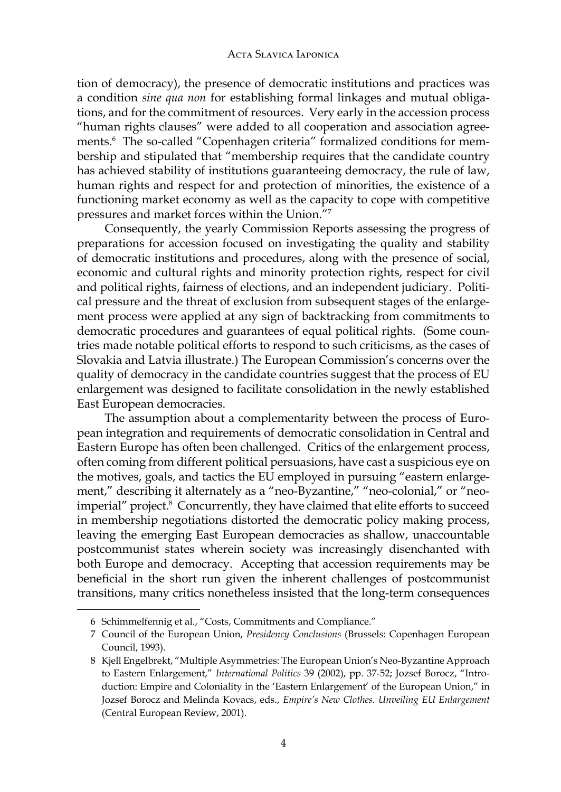tion of democracy), the presence of democratic institutions and practices was a condition *sine qua non* for establishing formal linkages and mutual obligations, and for the commitment of resources. Very early in the accession process "human rights clauses" were added to all cooperation and association agreements.<sup>6</sup> The so-called "Copenhagen criteria" formalized conditions for membership and stipulated that "membership requires that the candidate country has achieved stability of institutions guaranteeing democracy, the rule of law, human rights and respect for and protection of minorities, the existence of a functioning market economy as well as the capacity to cope with competitive pressures and market forces within the Union."<sup>7</sup>

Consequently, the yearly Commission Reports assessing the progress of preparations for accession focused on investigating the quality and stability of democratic institutions and procedures, along with the presence of social, economic and cultural rights and minority protection rights, respect for civil and political rights, fairness of elections, and an independent judiciary. Political pressure and the threat of exclusion from subsequent stages of the enlargement process were applied at any sign of backtracking from commitments to democratic procedures and guarantees of equal political rights. (Some countries made notable political efforts to respond to such criticisms, as the cases of Slovakia and Latvia illustrate.) The European Commission's concerns over the quality of democracy in the candidate countries suggest that the process of EU enlargement was designed to facilitate consolidation in the newly established East European democracies.

The assumption about a complementarity between the process of European integration and requirements of democratic consolidation in Central and Eastern Europe has often been challenged. Critics of the enlargement process, often coming from different political persuasions, have cast a suspicious eye on the motives, goals, and tactics the EU employed in pursuing "eastern enlargement," describing it alternately as a "neo-Byzantine," "neo-colonial," or "neoimperial" project.<sup>8</sup> Concurrently, they have claimed that elite efforts to succeed in membership negotiations distorted the democratic policy making process, leaving the emerging East European democracies as shallow, unaccountable postcommunist states wherein society was increasingly disenchanted with both Europe and democracy. Accepting that accession requirements may be beneficial in the short run given the inherent challenges of postcommunist transitions, many critics nonetheless insisted that the long-term consequences

<sup>6</sup> Schimmelfennig et al., "Costs, Commitments and Compliance."

<sup>7</sup> Council of the European Union, *Presidency Conclusions* (Brussels: Copenhagen European Council, 1993).

<sup>8</sup> Kjell Engelbrekt, "Multiple Asymmetries: The European Union's Neo-Byzantine Approach to Eastern Enlargement," *International Politics* 39 (2002), pp. 37-52; Jozsef Borocz, "Introduction: Empire and Coloniality in the 'Eastern Enlargement' of the European Union," in Jozsef Borocz and Melinda Kovacs, eds., *Empire's New Clothes. Unveiling EU Enlargement* (Central European Review, 2001).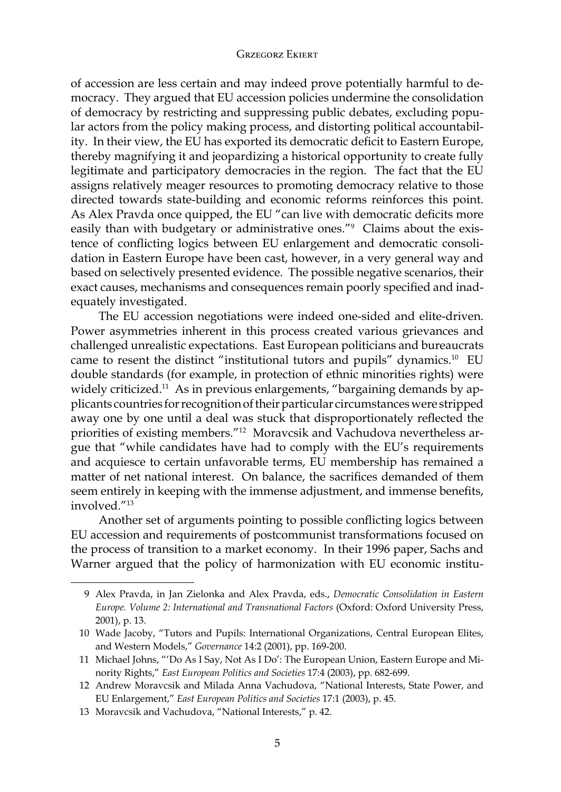of accession are less certain and may indeed prove potentially harmful to democracy. They argued that EU accession policies undermine the consolidation of democracy by restricting and suppressing public debates, excluding popular actors from the policy making process, and distorting political accountability. In their view, the EU has exported its democratic deficit to Eastern Europe, thereby magnifying it and jeopardizing a historical opportunity to create fully legitimate and participatory democracies in the region. The fact that the EU assigns relatively meager resources to promoting democracy relative to those directed towards state-building and economic reforms reinforces this point. As Alex Pravda once quipped, the EU "can live with democratic deficits more easily than with budgetary or administrative ones."<sup>9</sup> Claims about the existence of conflicting logics between EU enlargement and democratic consolidation in Eastern Europe have been cast, however, in a very general way and based on selectively presented evidence. The possible negative scenarios, their exact causes, mechanisms and consequences remain poorly specified and inadequately investigated.

The EU accession negotiations were indeed one-sided and elite-driven. Power asymmetries inherent in this process created various grievances and challenged unrealistic expectations. East European politicians and bureaucrats came to resent the distinct "institutional tutors and pupils" dynamics.10 EU double standards (for example, in protection of ethnic minorities rights) were widely criticized.<sup>11</sup> As in previous enlargements, "bargaining demands by applicants countries for recognition of their particular circumstances were stripped away one by one until a deal was stuck that disproportionately reflected the priorities of existing members."12 Moravcsik and Vachudova nevertheless argue that "while candidates have had to comply with the EU's requirements and acquiesce to certain unfavorable terms, EU membership has remained a matter of net national interest. On balance, the sacrifices demanded of them seem entirely in keeping with the immense adjustment, and immense benefits, involved<sup>"13</sup>

Another set of arguments pointing to possible conflicting logics between EU accession and requirements of postcommunist transformations focused on the process of transition to a market economy. In their 1996 paper, Sachs and Warner argued that the policy of harmonization with EU economic institu-

<sup>9</sup> Alex Pravda, in Jan Zielonka and Alex Pravda, eds., *Democratic Consolidation in Eastern Europe. Volume 2: International and Transnational Factors* (Oxford: Oxford University Press, 2001), p. 13.

<sup>10</sup> Wade Jacoby, "Tutors and Pupils: International Organizations, Central European Elites, and Western Models," *Governance* 14:2 (2001), pp. 169-200.

<sup>11</sup> Michael Johns, "'Do As I Say, Not As I Do': The European Union, Eastern Europe and Minority Rights," *East European Politics and Societies* 17:4 (2003), pp. 682-699.

<sup>12</sup> Andrew Moravcsik and Milada Anna Vachudova, "National Interests, State Power, and EU Enlargement," *East European Politics and Societies* 17:1 (2003), p. 45.

<sup>13</sup> Moravcsik and Vachudova, "National Interests," p. 42.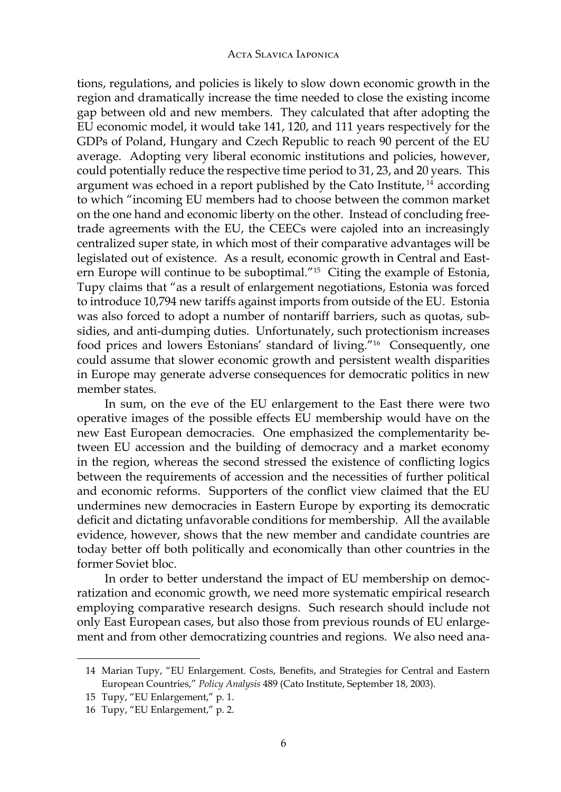tions, regulations, and policies is likely to slow down economic growth in the region and dramatically increase the time needed to close the existing income gap between old and new members. They calculated that after adopting the EU economic model, it would take 141, 120, and 111 years respectively for the GDPs of Poland, Hungary and Czech Republic to reach 90 percent of the EU average. Adopting very liberal economic institutions and policies, however, could potentially reduce the respective time period to 31, 23, and 20 years. This argument was echoed in a report published by the Cato Institute, 14 according to which "incoming EU members had to choose between the common market on the one hand and economic liberty on the other. Instead of concluding freetrade agreements with the EU, the CEECs were cajoled into an increasingly centralized super state, in which most of their comparative advantages will be legislated out of existence. As a result, economic growth in Central and Eastern Europe will continue to be suboptimal."<sup>15</sup> Citing the example of Estonia, Tupy claims that "as a result of enlargement negotiations, Estonia was forced to introduce 10,794 new tariffs against imports from outside of the EU. Estonia was also forced to adopt a number of nontariff barriers, such as quotas, subsidies, and anti-dumping duties. Unfortunately, such protectionism increases food prices and lowers Estonians' standard of living."16 Consequently, one could assume that slower economic growth and persistent wealth disparities in Europe may generate adverse consequences for democratic politics in new member states.

In sum, on the eve of the EU enlargement to the East there were two operative images of the possible effects EU membership would have on the new East European democracies. One emphasized the complementarity between EU accession and the building of democracy and a market economy in the region, whereas the second stressed the existence of conflicting logics between the requirements of accession and the necessities of further political and economic reforms. Supporters of the conflict view claimed that the EU undermines new democracies in Eastern Europe by exporting its democratic deficit and dictating unfavorable conditions for membership. All the available evidence, however, shows that the new member and candidate countries are today better off both politically and economically than other countries in the former Soviet bloc.

In order to better understand the impact of EU membership on democratization and economic growth, we need more systematic empirical research employing comparative research designs. Such research should include not only East European cases, but also those from previous rounds of EU enlargement and from other democratizing countries and regions. We also need ana-

<sup>14</sup> Marian Tupy, "EU Enlargement. Costs, Benefits, and Strategies for Central and Eastern European Countries," *Policy Analysis* 489 (Cato Institute, September 18, 2003).

<sup>15</sup> Tupy, "EU Enlargement," p. 1.

<sup>16</sup> Tupy, "EU Enlargement," p. 2.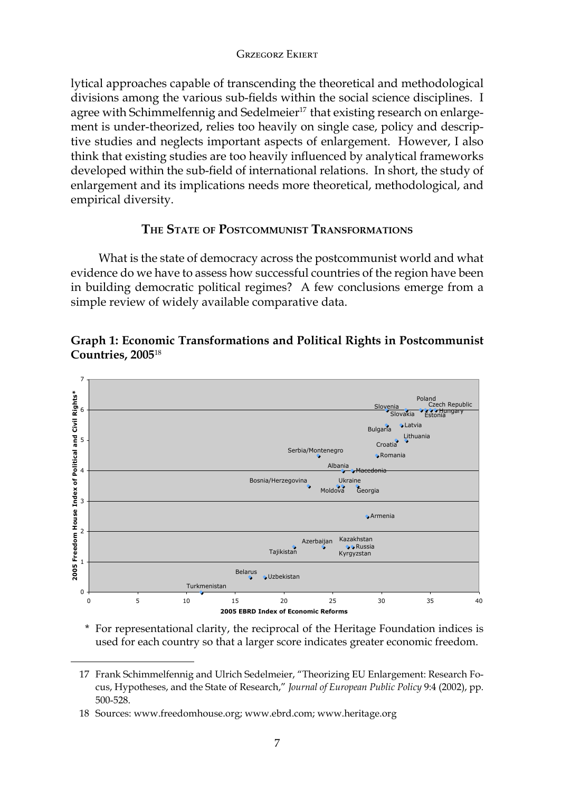lytical approaches capable of transcending the theoretical and methodological divisions among the various sub-fields within the social science disciplines. I agree with Schimmelfennig and Sedelmeier<sup>17</sup> that existing research on enlargement is under-theorized, relies too heavily on single case, policy and descriptive studies and neglects important aspects of enlargement. However, I also think that existing studies are too heavily influenced by analytical frameworks developed within the sub-field of international relations. In short, the study of enlargement and its implications needs more theoretical, methodological, and empirical diversity.

# **The State of Postcommunist Transformations**

What is the state of democracy across the postcommunist world and what evidence do we have to assess how successful countries of the region have been in building democratic political regimes? A few conclusions emerge from a simple review of widely available comparative data.





\* For representational clarity, the reciprocal of the Heritage Foundation indices is used for each country so that a larger score indicates greater economic freedom.

<sup>17</sup> Frank Schimmelfennig and Ulrich Sedelmeier, "Theorizing EU Enlargement: Research Focus, Hypotheses, and the State of Research," *Journal of European Public Policy* 9:4 (2002), pp. 500-528.

<sup>18</sup> Sources: www.freedomhouse.org; www.ebrd.com; www.heritage.org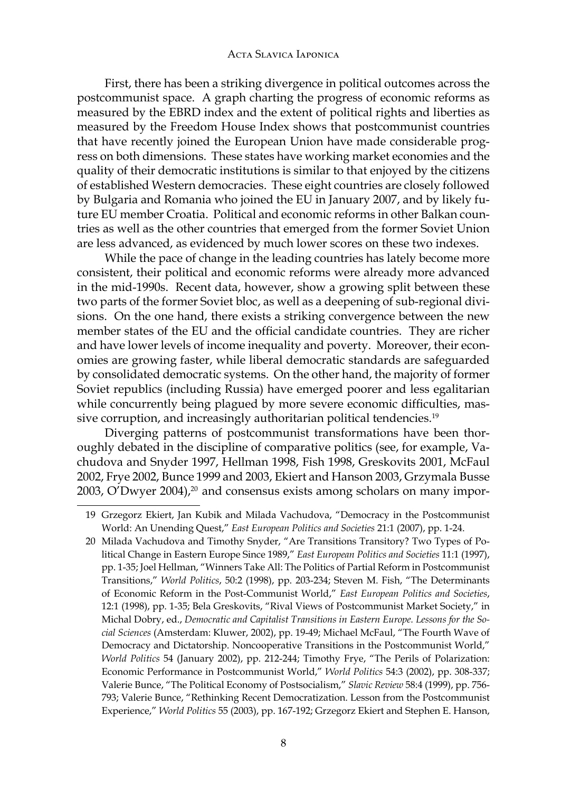First, there has been a striking divergence in political outcomes across the postcommunist space. A graph charting the progress of economic reforms as measured by the EBRD index and the extent of political rights and liberties as measured by the Freedom House Index shows that postcommunist countries that have recently joined the European Union have made considerable progress on both dimensions. These states have working market economies and the quality of their democratic institutions is similar to that enjoyed by the citizens of established Western democracies. These eight countries are closely followed by Bulgaria and Romania who joined the EU in January 2007, and by likely future EU member Croatia. Political and economic reforms in other Balkan countries as well as the other countries that emerged from the former Soviet Union are less advanced, as evidenced by much lower scores on these two indexes.

While the pace of change in the leading countries has lately become more consistent, their political and economic reforms were already more advanced in the mid-1990s. Recent data, however, show a growing split between these two parts of the former Soviet bloc, as well as a deepening of sub-regional divisions. On the one hand, there exists a striking convergence between the new member states of the EU and the official candidate countries. They are richer and have lower levels of income inequality and poverty. Moreover, their economies are growing faster, while liberal democratic standards are safeguarded by consolidated democratic systems. On the other hand, the majority of former Soviet republics (including Russia) have emerged poorer and less egalitarian while concurrently being plagued by more severe economic difficulties, massive corruption, and increasingly authoritarian political tendencies.<sup>19</sup>

Diverging patterns of postcommunist transformations have been thoroughly debated in the discipline of comparative politics (see, for example, Vachudova and Snyder 1997, Hellman 1998, Fish 1998, Greskovits 2001, McFaul 2002, Frye 2002, Bunce 1999 and 2003, Ekiert and Hanson 2003, Grzymala Busse 2003, O'Dwyer 2004), $^{20}$  and consensus exists among scholars on many impor-

<sup>19</sup> Grzegorz Ekiert, Jan Kubik and Milada Vachudova, "Democracy in the Postcommunist World: An Unending Quest," *East European Politics and Societies* 21:1 (2007), pp. 1-24.

<sup>20</sup> Milada Vachudova and Timothy Snyder, "Are Transitions Transitory? Two Types of Political Change in Eastern Europe Since 1989," *East European Politics and Societies* 11:1 (1997), pp. 1-35; Joel Hellman, "Winners Take All: The Politics of Partial Reform in Postcommunist Transitions," *World Politics*, 50:2 (1998), pp. 203-234; Steven M. Fish, "The Determinants of Economic Reform in the Post-Communist World," *East European Politics and Societies*, 12:1 (1998), pp. 1-35; Bela Greskovits, "Rival Views of Postcommunist Market Society," in Michal Dobry, ed., *Democratic and Capitalist Transitions in Eastern Europe. Lessons for the Social Sciences* (Amsterdam: Kluwer, 2002), pp. 19-49; Michael McFaul, "The Fourth Wave of Democracy and Dictatorship. Noncooperative Transitions in the Postcommunist World," *World Politics* 54 (January 2002), pp. 212-244; Timothy Frye, "The Perils of Polarization: Economic Performance in Postcommunist World," *World Politics* 54:3 (2002), pp. 308-337; Valerie Bunce, "The Political Economy of Postsocialism," *Slavic Review* 58:4 (1999), pp. 756- 793; Valerie Bunce, "Rethinking Recent Democratization. Lesson from the Postcommunist Experience," *World Politics* 55 (2003), pp. 167-192; Grzegorz Ekiert and Stephen E. Hanson,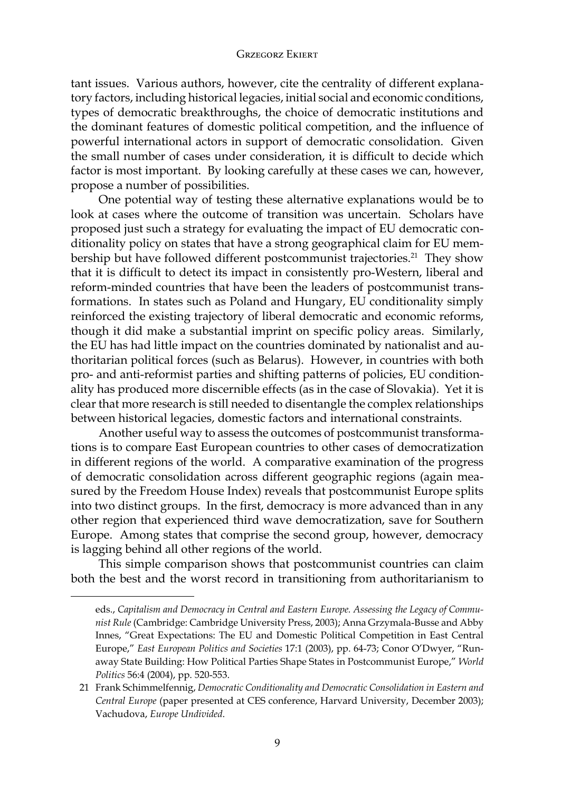tant issues. Various authors, however, cite the centrality of different explanatory factors, including historical legacies, initial social and economic conditions, types of democratic breakthroughs, the choice of democratic institutions and the dominant features of domestic political competition, and the influence of powerful international actors in support of democratic consolidation. Given the small number of cases under consideration, it is difficult to decide which factor is most important. By looking carefully at these cases we can, however, propose a number of possibilities.

One potential way of testing these alternative explanations would be to look at cases where the outcome of transition was uncertain. Scholars have proposed just such a strategy for evaluating the impact of EU democratic conditionality policy on states that have a strong geographical claim for EU membership but have followed different postcommunist trajectories.<sup>21</sup> They show that it is difficult to detect its impact in consistently pro-Western, liberal and reform-minded countries that have been the leaders of postcommunist transformations. In states such as Poland and Hungary, EU conditionality simply reinforced the existing trajectory of liberal democratic and economic reforms, though it did make a substantial imprint on specific policy areas. Similarly, the EU has had little impact on the countries dominated by nationalist and authoritarian political forces (such as Belarus). However, in countries with both pro- and anti-reformist parties and shifting patterns of policies, EU conditionality has produced more discernible effects (as in the case of Slovakia). Yet it is clear that more research is still needed to disentangle the complex relationships between historical legacies, domestic factors and international constraints.

Another useful way to assess the outcomes of postcommunist transformations is to compare East European countries to other cases of democratization in different regions of the world. A comparative examination of the progress of democratic consolidation across different geographic regions (again measured by the Freedom House Index) reveals that postcommunist Europe splits into two distinct groups. In the first, democracy is more advanced than in any other region that experienced third wave democratization, save for Southern Europe. Among states that comprise the second group, however, democracy is lagging behind all other regions of the world.

This simple comparison shows that postcommunist countries can claim both the best and the worst record in transitioning from authoritarianism to

eds., *Capitalism and Democracy in Central and Eastern Europe. Assessing the Legacy of Communist Rule* (Cambridge: Cambridge University Press, 2003); Anna Grzymala-Busse and Abby Innes, "Great Expectations: The EU and Domestic Political Competition in East Central Europe," *East European Politics and Societies* 17:1 (2003), pp. 64-73; Conor O'Dwyer, "Runaway State Building: How Political Parties Shape States in Postcommunist Europe," *World Politics* 56:4 (2004), pp. 520-553.

<sup>21</sup> Frank Schimmelfennig, *Democratic Conditionality and Democratic Consolidation in Eastern and Central Europe* (paper presented at CES conference, Harvard University, December 2003); Vachudova, *Europe Undivided*.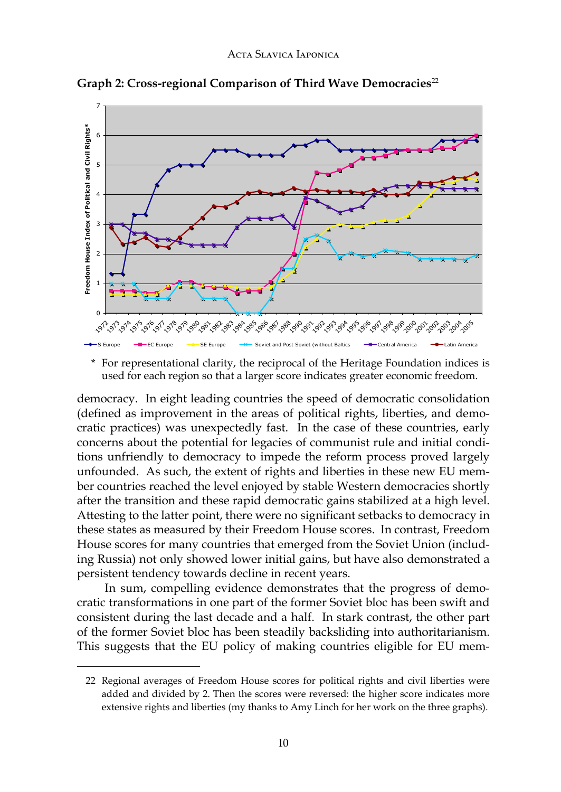

 $\mathbf{Graph~2: Cross-regional~Compansion~of~Third~Wave~Democracies^{22}}$ 

\* For representational clarity, the reciprocal of the Heritage Foundation indices is used for each region so that a larger score indicates greater economic freedom.

democracy. In eight leading countries the speed of democratic consolidation (defined as improvement in the areas of political rights, liberties, and democratic practices) was unexpectedly fast. In the case of these countries, early concerns about the potential for legacies of communist rule and initial conditions unfriendly to democracy to impede the reform process proved largely unfounded. As such, the extent of rights and liberties in these new EU member countries reached the level enjoyed by stable Western democracies shortly after the transition and these rapid democratic gains stabilized at a high level. Attesting to the latter point, there were no significant setbacks to democracy in these states as measured by their Freedom House scores. In contrast, Freedom House scores for many countries that emerged from the Soviet Union (including Russia) not only showed lower initial gains, but have also demonstrated a persistent tendency towards decline in recent years.

In sum, compelling evidence demonstrates that the progress of democratic transformations in one part of the former Soviet bloc has been swift and consistent during the last decade and a half. In stark contrast, the other part of the former Soviet bloc has been steadily backsliding into authoritarianism. This suggests that the EU policy of making countries eligible for EU mem-

<sup>22</sup> Regional averages of Freedom House scores for political rights and civil liberties were added and divided by 2. Then the scores were reversed: the higher score indicates more extensive rights and liberties (my thanks to Amy Linch for her work on the three graphs).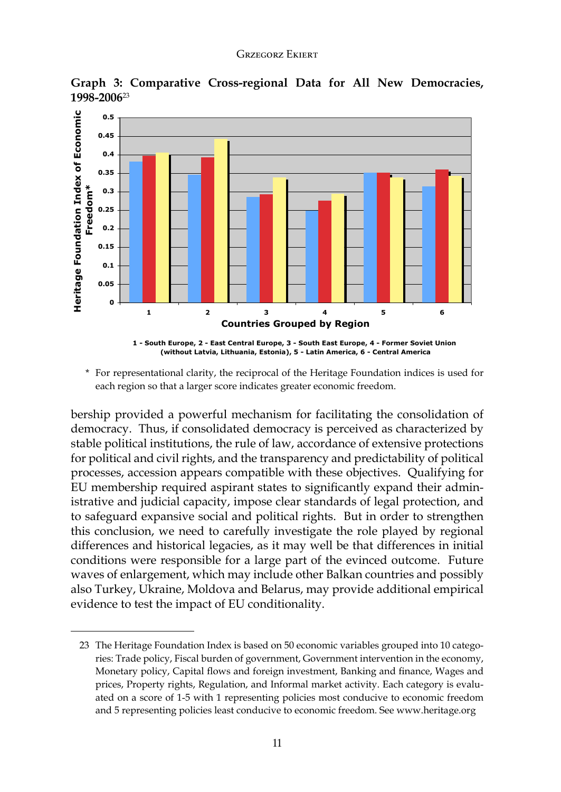Graph 3: Comparative Cross-regional Data for All New Democracies, **1998-2006**23



\* For representational clarity, the reciprocal of the Heritage Foundation indices is used for each region so that a larger score indicates greater economic freedom.

bership provided a powerful mechanism for facilitating the consolidation of democracy. Thus, if consolidated democracy is perceived as characterized by stable political institutions, the rule of law, accordance of extensive protections for political and civil rights, and the transparency and predictability of political processes, accession appears compatible with these objectives. Qualifying for EU membership required aspirant states to significantly expand their administrative and judicial capacity, impose clear standards of legal protection, and to safeguard expansive social and political rights. But in order to strengthen this conclusion, we need to carefully investigate the role played by regional differences and historical legacies, as it may well be that differences in initial conditions were responsible for a large part of the evinced outcome. Future waves of enlargement, which may include other Balkan countries and possibly also Turkey, Ukraine, Moldova and Belarus, may provide additional empirical evidence to test the impact of EU conditionality.

<sup>23</sup> The Heritage Foundation Index is based on 50 economic variables grouped into 10 categories: Trade policy, Fiscal burden of government, Government intervention in the economy, Monetary policy, Capital flows and foreign investment, Banking and finance, Wages and prices, Property rights, Regulation, and Informal market activity. Each category is evaluated on a score of 1-5 with 1 representing policies most conducive to economic freedom and 5 representing policies least conducive to economic freedom. See www.heritage.org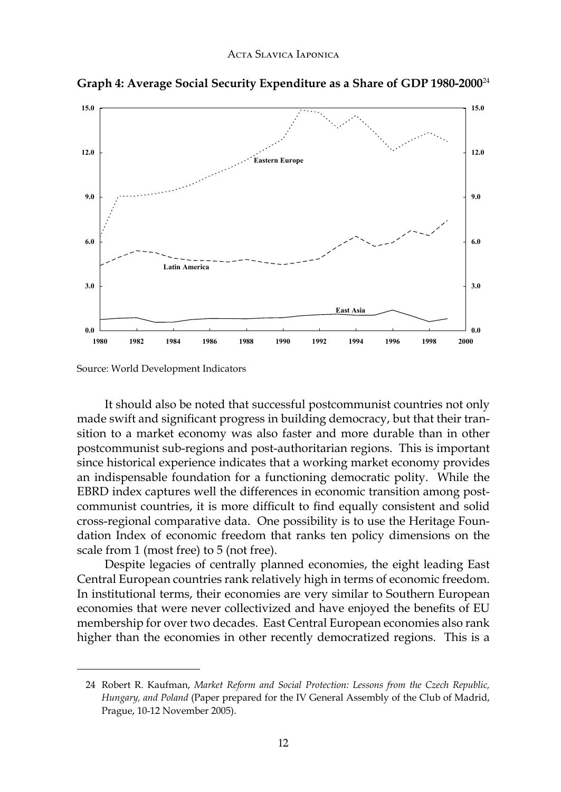

**Average Social Security Expenditure as a Share of GDP 1980-2000 Graph 4: Average Social Security Expenditure as a Share of GDP 1980-2000**<sup>24</sup>

Source: World Development Indicators

It should also be noted that successful postcommunist countries not only made swift and significant progress in building democracy, but that their transition to a market economy was also faster and more durable than in other postcommunist sub-regions and post-authoritarian regions. This is important since historical experience indicates that a working market economy provides an indispensable foundation for a functioning democratic polity. While the EBRD index captures well the differences in economic transition among postcommunist countries, it is more difficult to find equally consistent and solid cross-regional comparative data. One possibility is to use the Heritage Foundation Index of economic freedom that ranks ten policy dimensions on the scale from 1 (most free) to 5 (not free).

Despite legacies of centrally planned economies, the eight leading East Central European countries rank relatively high in terms of economic freedom. In institutional terms, their economies are very similar to Southern European economies that were never collectivized and have enjoyed the benefits of EU membership for over two decades. East Central European economies also rank higher than the economies in other recently democratized regions. This is a

<sup>24</sup> Robert R. Kaufman, *Market Reform and Social Protection: Lessons from the Czech Republic, Hungary, and Poland* (Paper prepared for the IV General Assembly of the Club of Madrid, Prague, 10-12 November 2005).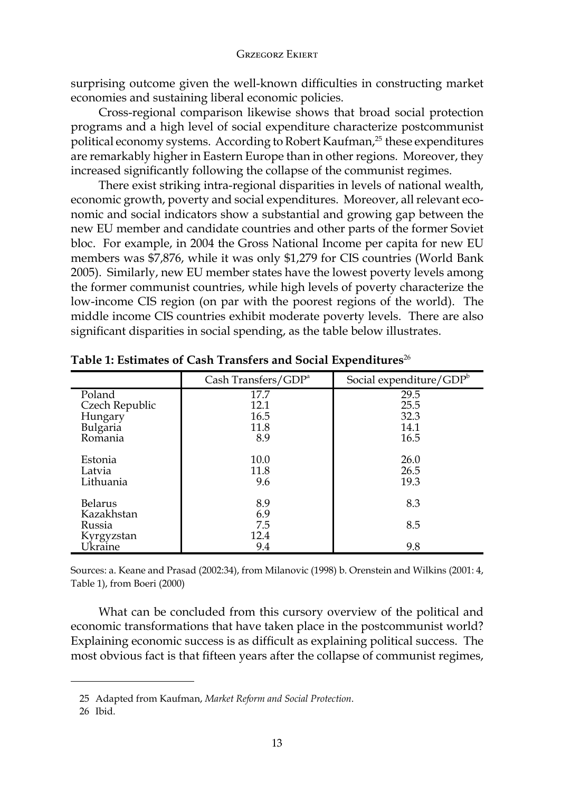surprising outcome given the well-known difficulties in constructing market economies and sustaining liberal economic policies.

Cross-regional comparison likewise shows that broad social protection programs and a high level of social expenditure characterize postcommunist political economy systems. According to Robert Kaufman,<sup>25</sup> these expenditures are remarkably higher in Eastern Europe than in other regions. Moreover, they increased significantly following the collapse of the communist regimes.

There exist striking intra-regional disparities in levels of national wealth, economic growth, poverty and social expenditures. Moreover, all relevant economic and social indicators show a substantial and growing gap between the new EU member and candidate countries and other parts of the former Soviet bloc. For example, in 2004 the Gross National Income per capita for new EU members was \$7,876, while it was only \$1,279 for CIS countries (World Bank 2005). Similarly, new EU member states have the lowest poverty levels among the former communist countries, while high levels of poverty characterize the low-income CIS region (on par with the poorest regions of the world). The middle income CIS countries exhibit moderate poverty levels. There are also significant disparities in social spending, as the table below illustrates.

|                | Cash Transfers/ $GDPa$ | Social expenditure/GDPb |
|----------------|------------------------|-------------------------|
| Poland         | 17.7                   | 29.5                    |
| Czech Republic | 12.1                   | 25.5                    |
| Hungary        | 16.5                   | 32.3                    |
| Bulgaria       | 11.8                   | 14.1                    |
| Romania        | 8.9                    | 16.5                    |
|                |                        |                         |
| Estonia        | 10.0                   | 26.0                    |
| Latvia         | 11.8                   | 26.5                    |
| Lithuania      | 9.6                    | 19.3                    |
|                |                        |                         |
| <b>Belarus</b> | 8.9                    | 8.3                     |
| Kazakhstan     | 6.9                    |                         |
| Russia         | 7.5                    | 8.5                     |
| Kyrgyzstan     | 12.4                   |                         |
| Ukraine        | 9.4                    | 9.8                     |

**Table 1: Estimates of Cash Transfers and Social Expenditures**<sup>26</sup>

Sources: a. Keane and Prasad (2002:34), from Milanovic (1998) b. Orenstein and Wilkins (2001: 4, Table 1), from Boeri (2000)

What can be concluded from this cursory overview of the political and economic transformations that have taken place in the postcommunist world? Explaining economic success is as difficult as explaining political success. The most obvious fact is that fifteen years after the collapse of communist regimes,

<sup>25</sup> Adapted from Kaufman, *Market Reform and Social Protection*.

<sup>26</sup> Ibid.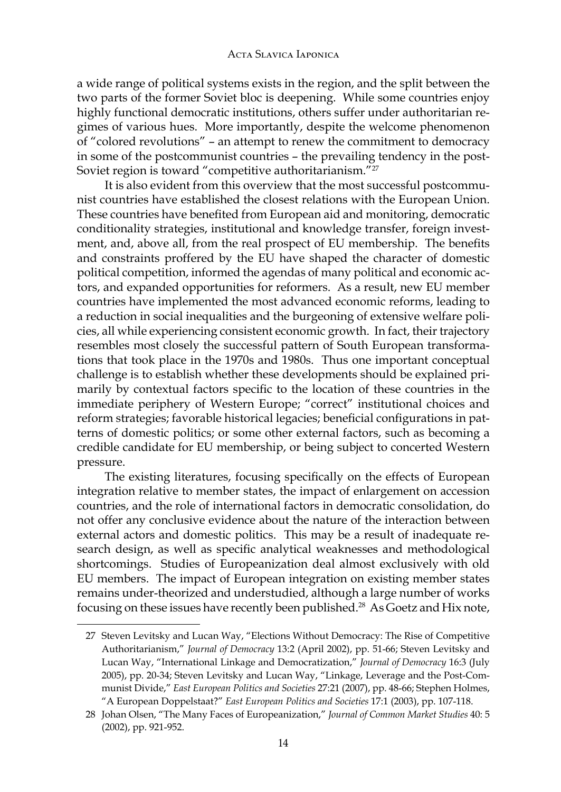a wide range of political systems exists in the region, and the split between the two parts of the former Soviet bloc is deepening. While some countries enjoy highly functional democratic institutions, others suffer under authoritarian regimes of various hues. More importantly, despite the welcome phenomenon of "colored revolutions" – an attempt to renew the commitment to democracy in some of the postcommunist countries – the prevailing tendency in the post-Soviet region is toward "competitive authoritarianism."<sup>27</sup>

It is also evident from this overview that the most successful postcommunist countries have established the closest relations with the European Union. These countries have benefited from European aid and monitoring, democratic conditionality strategies, institutional and knowledge transfer, foreign investment, and, above all, from the real prospect of EU membership. The benefits and constraints proffered by the EU have shaped the character of domestic political competition, informed the agendas of many political and economic actors, and expanded opportunities for reformers. As a result, new EU member countries have implemented the most advanced economic reforms, leading to a reduction in social inequalities and the burgeoning of extensive welfare policies, all while experiencing consistent economic growth. In fact, their trajectory resembles most closely the successful pattern of South European transformations that took place in the 1970s and 1980s. Thus one important conceptual challenge is to establish whether these developments should be explained primarily by contextual factors specific to the location of these countries in the immediate periphery of Western Europe; "correct" institutional choices and reform strategies; favorable historical legacies; beneficial configurations in patterns of domestic politics; or some other external factors, such as becoming a credible candidate for EU membership, or being subject to concerted Western pressure.

The existing literatures, focusing specifically on the effects of European integration relative to member states, the impact of enlargement on accession countries, and the role of international factors in democratic consolidation, do not offer any conclusive evidence about the nature of the interaction between external actors and domestic politics. This may be a result of inadequate research design, as well as specific analytical weaknesses and methodological shortcomings. Studies of Europeanization deal almost exclusively with old EU members. The impact of European integration on existing member states remains under-theorized and understudied, although a large number of works focusing on these issues have recently been published.<sup>28</sup> As Goetz and Hix note,

<sup>27</sup> Steven Levitsky and Lucan Way, "Elections Without Democracy: The Rise of Competitive Authoritarianism," *Journal of Democracy* 13:2 (April 2002), pp. 51-66; Steven Levitsky and Lucan Way, "International Linkage and Democratization," *Journal of Democracy* 16:3 (July 2005), pp. 20-34; Steven Levitsky and Lucan Way, "Linkage, Leverage and the Post-Communist Divide," *East European Politics and Societies* 27:21 (2007), pp. 48-66; Stephen Holmes, "A European Doppelstaat?" *East European Politics and Societies* 17:1 (2003), pp. 107-118.

<sup>28</sup> Johan Olsen, "The Many Faces of Europeanization," *Journal of Common Market Studies* 40: 5 (2002), pp. 921-952.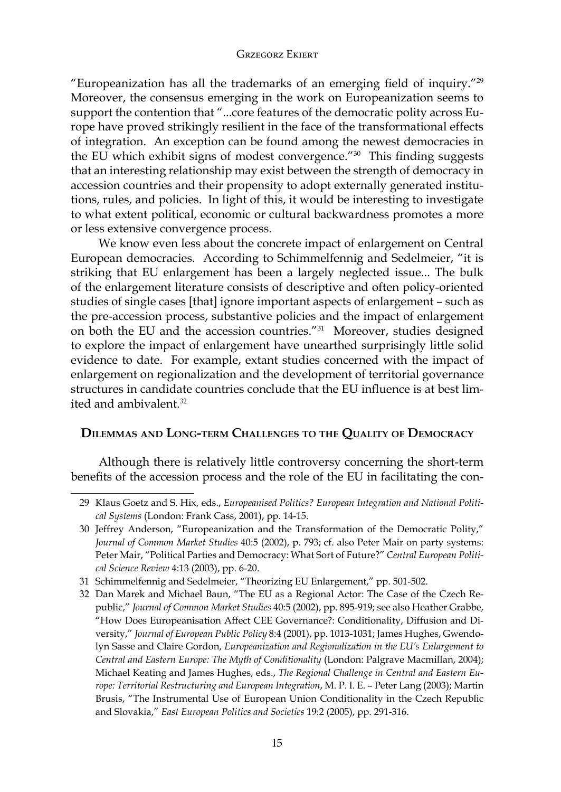"Europeanization has all the trademarks of an emerging field of inquiry."<sup>29</sup> Moreover, the consensus emerging in the work on Europeanization seems to support the contention that "...core features of the democratic polity across Europe have proved strikingly resilient in the face of the transformational effects of integration. An exception can be found among the newest democracies in the EU which exhibit signs of modest convergence."<sup>30</sup> This finding suggests that an interesting relationship may exist between the strength of democracy in accession countries and their propensity to adopt externally generated institutions, rules, and policies. In light of this, it would be interesting to investigate to what extent political, economic or cultural backwardness promotes a more or less extensive convergence process.

We know even less about the concrete impact of enlargement on Central European democracies. According to Schimmelfennig and Sedelmeier, "it is striking that EU enlargement has been a largely neglected issue... The bulk of the enlargement literature consists of descriptive and often policy-oriented studies of single cases [that] ignore important aspects of enlargement – such as the pre-accession process, substantive policies and the impact of enlargement on both the EU and the accession countries."31 Moreover, studies designed to explore the impact of enlargement have unearthed surprisingly little solid evidence to date. For example, extant studies concerned with the impact of enlargement on regionalization and the development of territorial governance structures in candidate countries conclude that the EU influence is at best limited and ambivalent  $32$ 

## **Dilemmas and Long-term Challenges to the Quality of Democracy**

Although there is relatively little controversy concerning the short-term benefits of the accession process and the role of the EU in facilitating the con-

<sup>29</sup> Klaus Goetz and S. Hix, eds., *Europeanised Politics? European Integration and National Political Systems* (London: Frank Cass, 2001), pp. 14-15.

<sup>30</sup> Jeffrey Anderson, "Europeanization and the Transformation of the Democratic Polity," *Journal of Common Market Studies* 40:5 (2002), p. 793; cf. also Peter Mair on party systems: Peter Mair, "Political Parties and Democracy: What Sort of Future?" *Central European Political Science Review* 4:13 (2003), pp. 6-20.

<sup>31</sup> Schimmelfennig and Sedelmeier, "Theorizing EU Enlargement," pp. 501-502.

<sup>32</sup> Dan Marek and Michael Baun, "The EU as a Regional Actor: The Case of the Czech Republic," *Journal of Common Market Studies* 40:5 (2002), pp. 895-919; see also Heather Grabbe, "How Does Europeanisation Affect CEE Governance?: Conditionality, Diffusion and Diversity," *Journal of European Public Policy* 8:4 (2001), pp. 1013-1031; James Hughes, Gwendolyn Sasse and Claire Gordon, *Europeanization and Regionalization in the EU's Enlargement to Central and Eastern Europe: The Myth of Conditionality* (London: Palgrave Macmillan, 2004); Michael Keating and James Hughes, eds., *The Regional Challenge in Central and Eastern Europe: Territorial Restructuring and European Integration*, M. P. I. E. – Peter Lang (2003); Martin Brusis, "The Instrumental Use of European Union Conditionality in the Czech Republic and Slovakia," *East European Politics and Societies* 19:2 (2005), pp. 291-316.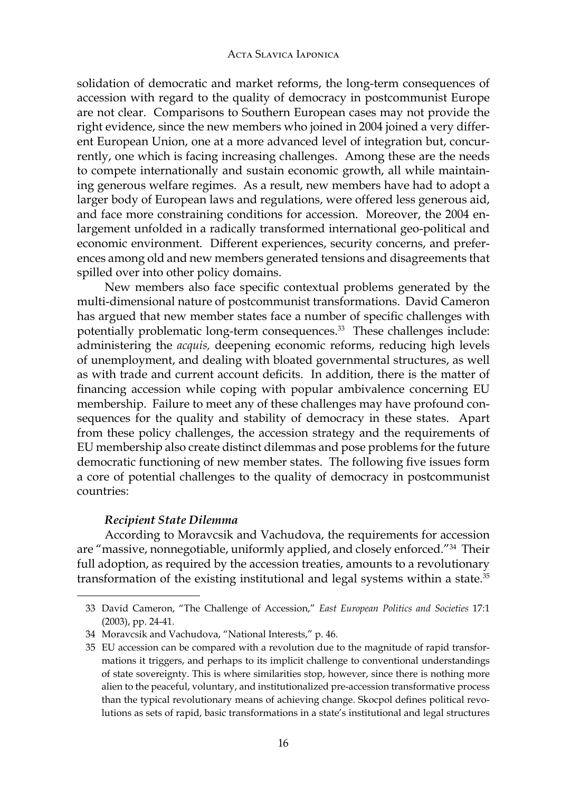solidation of democratic and market reforms, the long-term consequences of accession with regard to the quality of democracy in postcommunist Europe are not clear. Comparisons to Southern European cases may not provide the right evidence, since the new members who joined in 2004 joined a very different European Union, one at a more advanced level of integration but, concurrently, one which is facing increasing challenges. Among these are the needs to compete internationally and sustain economic growth, all while maintaining generous welfare regimes. As a result, new members have had to adopt a larger body of European laws and regulations, were offered less generous aid, and face more constraining conditions for accession. Moreover, the 2004 enlargement unfolded in a radically transformed international geo-political and economic environment. Different experiences, security concerns, and preferences among old and new members generated tensions and disagreements that spilled over into other policy domains.

New members also face specific contextual problems generated by the multi-dimensional nature of postcommunist transformations. David Cameron has argued that new member states face a number of specific challenges with potentially problematic long-term consequences.<sup>33</sup> These challenges include: administering the *acquis,* deepening economic reforms, reducing high levels of unemployment, and dealing with bloated governmental structures, as well as with trade and current account deficits. In addition, there is the matter of financing accession while coping with popular ambivalence concerning EU membership. Failure to meet any of these challenges may have profound consequences for the quality and stability of democracy in these states. Apart from these policy challenges, the accession strategy and the requirements of EU membership also create distinct dilemmas and pose problems for the future democratic functioning of new member states. The following five issues form a core of potential challenges to the quality of democracy in postcommunist countries:

## *Recipient State Dilemma*

According to Moravcsik and Vachudova, the requirements for accession are "massive, nonnegotiable, uniformly applied, and closely enforced."34 Their full adoption, as required by the accession treaties, amounts to a revolutionary transformation of the existing institutional and legal systems within a state.<sup>35</sup>

<sup>33</sup> David Cameron, "The Challenge of Accession," *East European Politics and Societies* 17:1 (2003), pp. 24-41.

<sup>34</sup> Moravcsik and Vachudova, "National Interests," p. 46.

<sup>35</sup> EU accession can be compared with a revolution due to the magnitude of rapid transformations it triggers, and perhaps to its implicit challenge to conventional understandings of state sovereignty. This is where similarities stop, however, since there is nothing more alien to the peaceful, voluntary, and institutionalized pre-accession transformative process than the typical revolutionary means of achieving change. Skocpol defines political revolutions as sets of rapid, basic transformations in a state's institutional and legal structures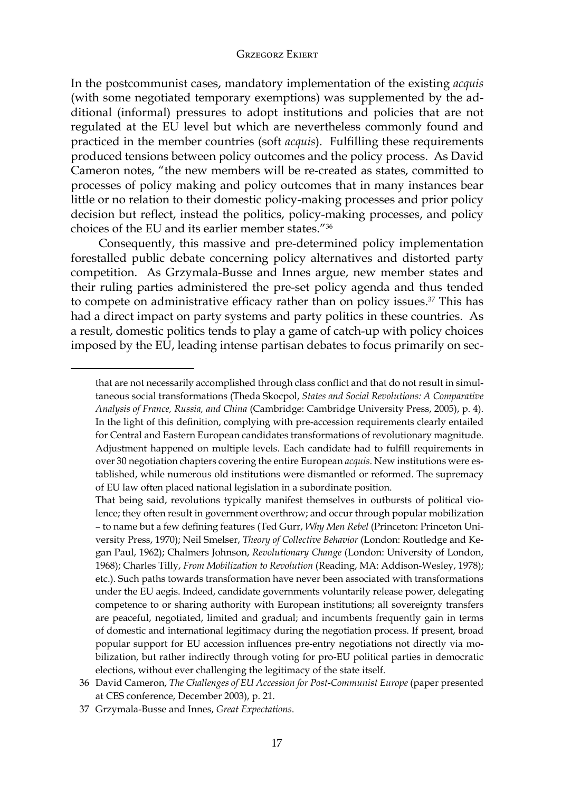In the postcommunist cases, mandatory implementation of the existing *acquis* (with some negotiated temporary exemptions) was supplemented by the additional (informal) pressures to adopt institutions and policies that are not regulated at the EU level but which are nevertheless commonly found and practiced in the member countries (soft *acquis*). Fulfilling these requirements produced tensions between policy outcomes and the policy process. As David Cameron notes, "the new members will be re-created as states, committed to processes of policy making and policy outcomes that in many instances bear little or no relation to their domestic policy-making processes and prior policy decision but reflect, instead the politics, policy-making processes, and policy choices of the EU and its earlier member states."36

Consequently, this massive and pre-determined policy implementation forestalled public debate concerning policy alternatives and distorted party competition. As Grzymala-Busse and Innes argue, new member states and their ruling parties administered the pre-set policy agenda and thus tended to compete on administrative efficacy rather than on policy issues. $37$  This has had a direct impact on party systems and party politics in these countries. As a result, domestic politics tends to play a game of catch-up with policy choices imposed by the EU, leading intense partisan debates to focus primarily on sec-

that are not necessarily accomplished through class conflict and that do not result in simultaneous social transformations (Theda Skocpol, *States and Social Revolutions: A Comparative Analysis of France, Russia, and China* (Cambridge: Cambridge University Press, 2005), p. 4). In the light of this definition, complying with pre-accession requirements clearly entailed for Central and Eastern European candidates transformations of revolutionary magnitude. Adjustment happened on multiple levels. Each candidate had to fulfill requirements in over 30 negotiation chapters covering the entire European *acquis*. New institutions were established, while numerous old institutions were dismantled or reformed. The supremacy of EU law often placed national legislation in a subordinate position.

That being said, revolutions typically manifest themselves in outbursts of political violence; they often result in government overthrow; and occur through popular mobilization – to name but a few defining features (Ted Gurr, *Why Men Rebel* (Princeton: Princeton University Press, 1970); Neil Smelser, *Theory of Collective Behavior* (London: Routledge and Kegan Paul, 1962); Chalmers Johnson, *Revolutionary Change* (London: University of London, 1968); Charles Tilly, *From Mobilization to Revolution* (Reading, MA: Addison-Wesley, 1978); etc.). Such paths towards transformation have never been associated with transformations under the EU aegis. Indeed, candidate governments voluntarily release power, delegating competence to or sharing authority with European institutions; all sovereignty transfers are peaceful, negotiated, limited and gradual; and incumbents frequently gain in terms of domestic and international legitimacy during the negotiation process. If present, broad popular support for EU accession influences pre-entry negotiations not directly via mobilization, but rather indirectly through voting for pro-EU political parties in democratic elections, without ever challenging the legitimacy of the state itself.

<sup>36</sup> David Cameron, *The Challenges of EU Accession for Post-Communist Europe* (paper presented at CES conference, December 2003), p. 21.

<sup>37</sup> Grzymala-Busse and Innes, *Great Expectations*.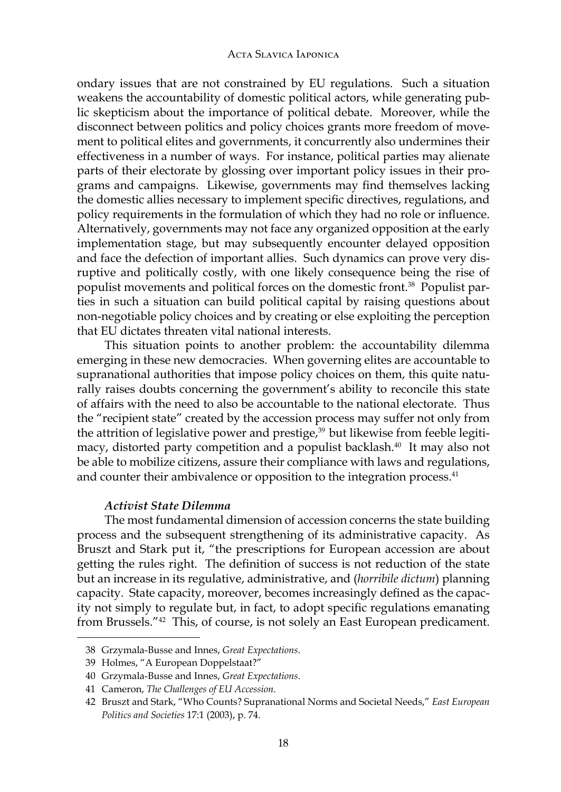ondary issues that are not constrained by EU regulations. Such a situation weakens the accountability of domestic political actors, while generating public skepticism about the importance of political debate. Moreover, while the disconnect between politics and policy choices grants more freedom of movement to political elites and governments, it concurrently also undermines their effectiveness in a number of ways. For instance, political parties may alienate parts of their electorate by glossing over important policy issues in their programs and campaigns. Likewise, governments may find themselves lacking the domestic allies necessary to implement specific directives, regulations, and policy requirements in the formulation of which they had no role or influence. Alternatively, governments may not face any organized opposition at the early implementation stage, but may subsequently encounter delayed opposition and face the defection of important allies. Such dynamics can prove very disruptive and politically costly, with one likely consequence being the rise of populist movements and political forces on the domestic front.38 Populist parties in such a situation can build political capital by raising questions about non-negotiable policy choices and by creating or else exploiting the perception that EU dictates threaten vital national interests.

This situation points to another problem: the accountability dilemma emerging in these new democracies. When governing elites are accountable to supranational authorities that impose policy choices on them, this quite naturally raises doubts concerning the government's ability to reconcile this state of affairs with the need to also be accountable to the national electorate. Thus the "recipient state" created by the accession process may suffer not only from the attrition of legislative power and prestige, $39$  but likewise from feeble legitimacy, distorted party competition and a populist backlash.<sup>40</sup> It may also not be able to mobilize citizens, assure their compliance with laws and regulations, and counter their ambivalence or opposition to the integration process.<sup>41</sup>

## *Activist State Dilemma*

The most fundamental dimension of accession concerns the state building process and the subsequent strengthening of its administrative capacity. As Bruszt and Stark put it, "the prescriptions for European accession are about getting the rules right. The definition of success is not reduction of the state but an increase in its regulative, administrative, and (*horribile dictum*) planning capacity. State capacity, moreover, becomes increasingly defined as the capacity not simply to regulate but, in fact, to adopt specific regulations emanating from Brussels."<sup>42</sup> This, of course, is not solely an East European predicament.

<sup>38</sup> Grzymala-Busse and Innes, *Great Expectations*.

<sup>39</sup> Holmes, "A European Doppelstaat?"

<sup>40</sup> Grzymala-Busse and Innes, *Great Expectations*.

<sup>41</sup> Cameron, *The Challenges of EU Accession*.

<sup>42</sup> Bruszt and Stark, "Who Counts? Supranational Norms and Societal Needs," *East European Politics and Societies* 17:1 (2003), p. 74.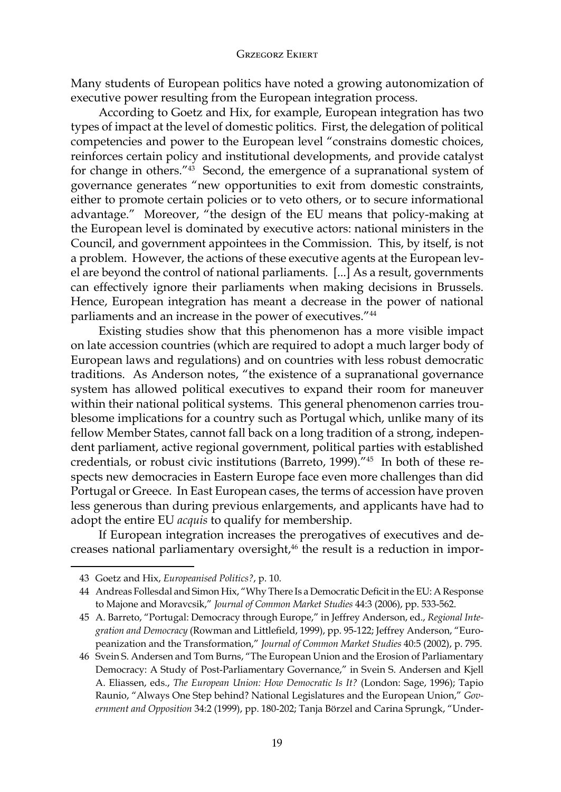Many students of European politics have noted a growing autonomization of executive power resulting from the European integration process.

According to Goetz and Hix, for example, European integration has two types of impact at the level of domestic politics. First, the delegation of political competencies and power to the European level "constrains domestic choices, reinforces certain policy and institutional developments, and provide catalyst for change in others." $43$  Second, the emergence of a supranational system of governance generates "new opportunities to exit from domestic constraints, either to promote certain policies or to veto others, or to secure informational advantage." Moreover, "the design of the EU means that policy-making at the European level is dominated by executive actors: national ministers in the Council, and government appointees in the Commission. This, by itself, is not a problem. However, the actions of these executive agents at the European level are beyond the control of national parliaments. [...] As a result, governments can effectively ignore their parliaments when making decisions in Brussels. Hence, European integration has meant a decrease in the power of national parliaments and an increase in the power of executives."<sup>44</sup>

Existing studies show that this phenomenon has a more visible impact on late accession countries (which are required to adopt a much larger body of European laws and regulations) and on countries with less robust democratic traditions. As Anderson notes, "the existence of a supranational governance system has allowed political executives to expand their room for maneuver within their national political systems. This general phenomenon carries troublesome implications for a country such as Portugal which, unlike many of its fellow Member States, cannot fall back on a long tradition of a strong, independent parliament, active regional government, political parties with established credentials, or robust civic institutions (Barreto, 1999)."45 In both of these respects new democracies in Eastern Europe face even more challenges than did Portugal or Greece. In East European cases, the terms of accession have proven less generous than during previous enlargements, and applicants have had to adopt the entire EU *acquis* to qualify for membership.

If European integration increases the prerogatives of executives and decreases national parliamentary oversight,<sup>46</sup> the result is a reduction in impor-

<sup>43</sup> Goetz and Hix, *Europeanised Politics?*, p. 10.

<sup>44</sup> Andreas Follesdal and Simon Hix, "Why There Is a Democratic Deficit in the EU: A Response to Majone and Moravcsik," *Journal of Common Market Studies* 44:3 (2006), pp. 533-562.

<sup>45</sup> A. Barreto, "Portugal: Democracy through Europe," in Jeffrey Anderson, ed., *Regional Integration and Democracy* (Rowman and Littlefield, 1999), pp. 95-122; Jeffrey Anderson, "Europeanization and the Transformation," *Journal of Common Market Studies* 40:5 (2002), p. 795.

<sup>46</sup> Svein S. Andersen and Tom Burns, "The European Union and the Erosion of Parliamentary Democracy: A Study of Post-Parliamentary Governance," in Svein S. Andersen and Kjell A. Eliassen, eds., *The European Union: How Democratic Is It?* (London: Sage, 1996); Tapio Raunio, "Always One Step behind? National Legislatures and the European Union," *Government and Opposition* 34:2 (1999), pp. 180-202; Tanja Börzel and Carina Sprungk, "Under-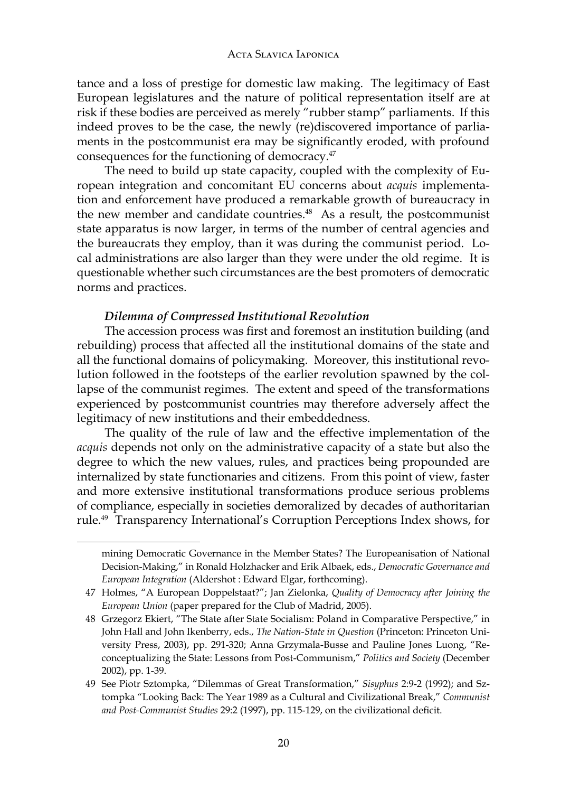tance and a loss of prestige for domestic law making. The legitimacy of East European legislatures and the nature of political representation itself are at risk if these bodies are perceived as merely "rubber stamp" parliaments. If this indeed proves to be the case, the newly (re)discovered importance of parliaments in the postcommunist era may be significantly eroded, with profound consequences for the functioning of democracy.<sup>47</sup>

The need to build up state capacity, coupled with the complexity of European integration and concomitant EU concerns about *acquis* implementation and enforcement have produced a remarkable growth of bureaucracy in the new member and candidate countries.<sup>48</sup> As a result, the postcommunist state apparatus is now larger, in terms of the number of central agencies and the bureaucrats they employ, than it was during the communist period. Local administrations are also larger than they were under the old regime. It is questionable whether such circumstances are the best promoters of democratic norms and practices.

## *Dilemma of Compressed Institutional Revolution*

The accession process was first and foremost an institution building (and rebuilding) process that affected all the institutional domains of the state and all the functional domains of policymaking. Moreover, this institutional revolution followed in the footsteps of the earlier revolution spawned by the collapse of the communist regimes. The extent and speed of the transformations experienced by postcommunist countries may therefore adversely affect the legitimacy of new institutions and their embeddedness.

The quality of the rule of law and the effective implementation of the *acquis* depends not only on the administrative capacity of a state but also the degree to which the new values, rules, and practices being propounded are internalized by state functionaries and citizens. From this point of view, faster and more extensive institutional transformations produce serious problems of compliance, especially in societies demoralized by decades of authoritarian rule.<sup>49</sup> Transparency International's Corruption Perceptions Index shows, for

mining Democratic Governance in the Member States? The Europeanisation of National Decision-Making," in Ronald Holzhacker and Erik Albaek, eds., *Democratic Governance and European Integration* (Aldershot : Edward Elgar, forthcoming).

<sup>47</sup> Holmes, "A European Doppelstaat?"; Jan Zielonka, *Quality of Democracy after Joining the European Union* (paper prepared for the Club of Madrid, 2005).

<sup>48</sup> Grzegorz Ekiert, "The State after State Socialism: Poland in Comparative Perspective," in John Hall and John Ikenberry, eds., *The Nation-State in Question* (Princeton: Princeton University Press, 2003), pp. 291-320; Anna Grzymala-Busse and Pauline Jones Luong, "Reconceptualizing the State: Lessons from Post-Communism," *Politics and Society* (December 2002), pp. 1-39.

<sup>49</sup> See Piotr Sztompka, "Dilemmas of Great Transformation," *Sisyphus* 2:9-2 (1992); and Sztompka "Looking Back: The Year 1989 as a Cultural and Civilizational Break," *Communist and Post-Communist Studies* 29:2 (1997), pp. 115-129, on the civilizational deficit.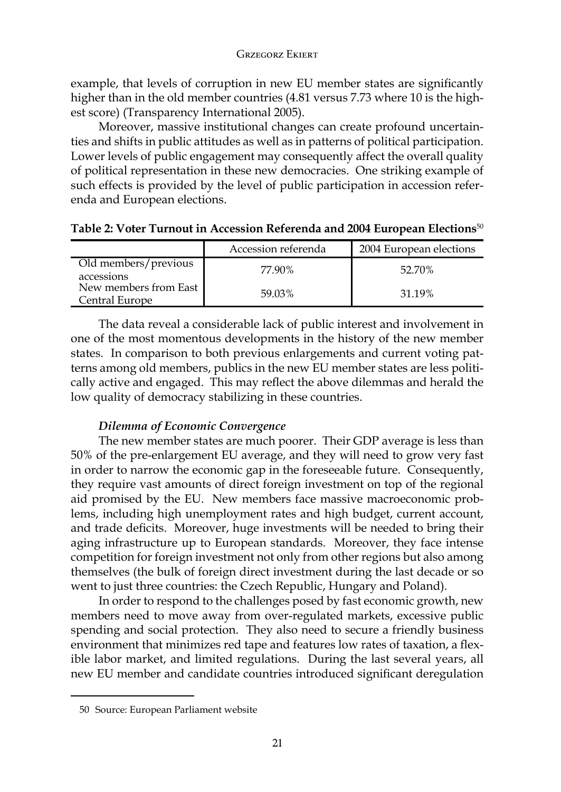example, that levels of corruption in new EU member states are significantly higher than in the old member countries (4.81 versus 7.73 where 10 is the highest score) (Transparency International 2005).

Moreover, massive institutional changes can create profound uncertainties and shifts in public attitudes as well as in patterns of political participation. Lower levels of public engagement may consequently affect the overall quality of political representation in these new democracies. One striking example of such effects is provided by the level of public participation in accession referenda and European elections.

|                                         | Accession referenda | 2004 European elections |
|-----------------------------------------|---------------------|-------------------------|
| Old members/previous<br>accessions      | 77.90%              | 52.70%                  |
| New members from East<br>Central Europe | 59.03%              | 31.19%                  |

**Table 2: Voter Turnout in Accession Referenda and 2004 European Elections**<sup>50</sup>

The data reveal a considerable lack of public interest and involvement in one of the most momentous developments in the history of the new member states. In comparison to both previous enlargements and current voting patterns among old members, publics in the new EU member states are less politically active and engaged. This may reflect the above dilemmas and herald the low quality of democracy stabilizing in these countries.

## *Dilemma of Economic Convergence*

The new member states are much poorer. Their GDP average is less than 50% of the pre-enlargement EU average, and they will need to grow very fast in order to narrow the economic gap in the foreseeable future. Consequently, they require vast amounts of direct foreign investment on top of the regional aid promised by the EU. New members face massive macroeconomic problems, including high unemployment rates and high budget, current account, and trade deficits. Moreover, huge investments will be needed to bring their aging infrastructure up to European standards. Moreover, they face intense competition for foreign investment not only from other regions but also among themselves (the bulk of foreign direct investment during the last decade or so went to just three countries: the Czech Republic, Hungary and Poland).

In order to respond to the challenges posed by fast economic growth, new members need to move away from over-regulated markets, excessive public spending and social protection. They also need to secure a friendly business environment that minimizes red tape and features low rates of taxation, a flexible labor market, and limited regulations. During the last several years, all new EU member and candidate countries introduced significant deregulation

<sup>50</sup> Source: European Parliament website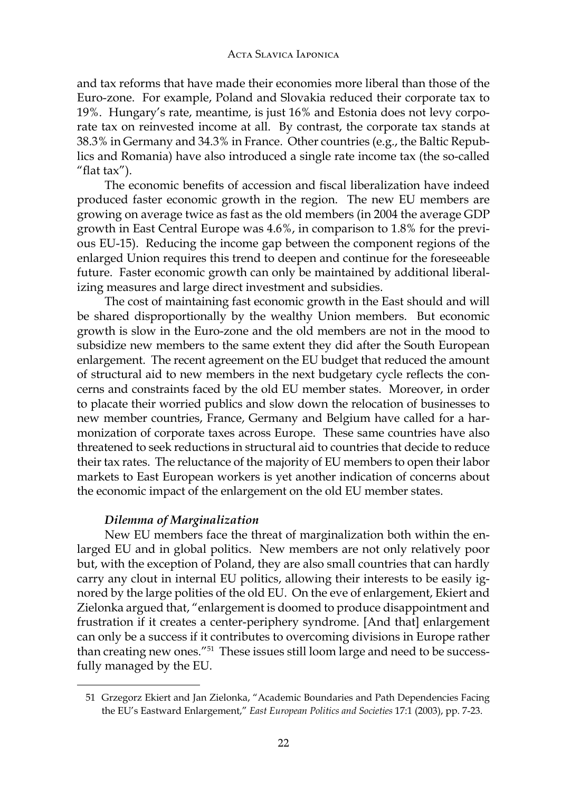and tax reforms that have made their economies more liberal than those of the Euro-zone. For example, Poland and Slovakia reduced their corporate tax to 19%. Hungary's rate, meantime, is just 16% and Estonia does not levy corporate tax on reinvested income at all. By contrast, the corporate tax stands at 38.3% in Germany and 34.3% in France. Other countries (e.g., the Baltic Republics and Romania) have also introduced a single rate income tax (the so-called "flat tax").

The economic benefits of accession and fiscal liberalization have indeed produced faster economic growth in the region. The new EU members are growing on average twice as fast as the old members (in 2004 the average GDP growth in East Central Europe was 4.6%, in comparison to 1.8% for the previous EU-15). Reducing the income gap between the component regions of the enlarged Union requires this trend to deepen and continue for the foreseeable future. Faster economic growth can only be maintained by additional liberalizing measures and large direct investment and subsidies.

The cost of maintaining fast economic growth in the East should and will be shared disproportionally by the wealthy Union members. But economic growth is slow in the Euro-zone and the old members are not in the mood to subsidize new members to the same extent they did after the South European enlargement. The recent agreement on the EU budget that reduced the amount of structural aid to new members in the next budgetary cycle reflects the concerns and constraints faced by the old EU member states. Moreover, in order to placate their worried publics and slow down the relocation of businesses to new member countries, France, Germany and Belgium have called for a harmonization of corporate taxes across Europe. These same countries have also threatened to seek reductions in structural aid to countries that decide to reduce their tax rates. The reluctance of the majority of EU members to open their labor markets to East European workers is yet another indication of concerns about the economic impact of the enlargement on the old EU member states.

## *Dilemma of Marginalization*

New EU members face the threat of marginalization both within the enlarged EU and in global politics. New members are not only relatively poor but, with the exception of Poland, they are also small countries that can hardly carry any clout in internal EU politics, allowing their interests to be easily ignored by the large polities of the old EU. On the eve of enlargement, Ekiert and Zielonka argued that, "enlargement is doomed to produce disappointment and frustration if it creates a center-periphery syndrome. [And that] enlargement can only be a success if it contributes to overcoming divisions in Europe rather than creating new ones."51 These issues still loom large and need to be successfully managed by the EU.

<sup>51</sup> Grzegorz Ekiert and Jan Zielonka, "Academic Boundaries and Path Dependencies Facing the EU's Eastward Enlargement," *East European Politics and Societies* 17:1 (2003), pp. 7-23.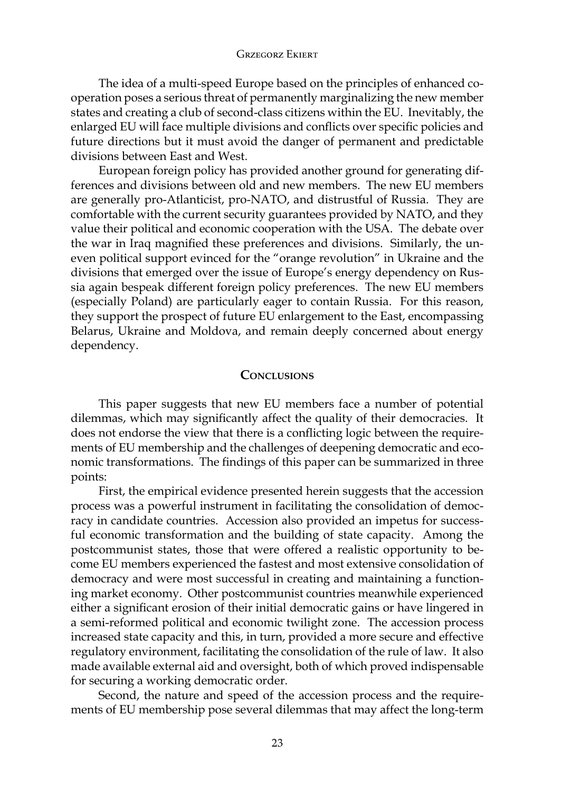The idea of a multi-speed Europe based on the principles of enhanced cooperation poses a serious threat of permanently marginalizing the new member states and creating a club of second-class citizens within the EU. Inevitably, the enlarged EU will face multiple divisions and conflicts over specific policies and future directions but it must avoid the danger of permanent and predictable divisions between East and West.

European foreign policy has provided another ground for generating differences and divisions between old and new members. The new EU members are generally pro-Atlanticist, pro-NATO, and distrustful of Russia. They are comfortable with the current security guarantees provided by NATO, and they value their political and economic cooperation with the USA. The debate over the war in Iraq magnified these preferences and divisions. Similarly, the uneven political support evinced for the "orange revolution" in Ukraine and the divisions that emerged over the issue of Europe's energy dependency on Russia again bespeak different foreign policy preferences. The new EU members (especially Poland) are particularly eager to contain Russia. For this reason, they support the prospect of future EU enlargement to the East, encompassing Belarus, Ukraine and Moldova, and remain deeply concerned about energy dependency.

## **Conclusions**

This paper suggests that new EU members face a number of potential dilemmas, which may significantly affect the quality of their democracies. It does not endorse the view that there is a conflicting logic between the requirements of EU membership and the challenges of deepening democratic and economic transformations. The findings of this paper can be summarized in three points:

First, the empirical evidence presented herein suggests that the accession process was a powerful instrument in facilitating the consolidation of democracy in candidate countries. Accession also provided an impetus for successful economic transformation and the building of state capacity. Among the postcommunist states, those that were offered a realistic opportunity to become EU members experienced the fastest and most extensive consolidation of democracy and were most successful in creating and maintaining a functioning market economy. Other postcommunist countries meanwhile experienced either a significant erosion of their initial democratic gains or have lingered in a semi-reformed political and economic twilight zone. The accession process increased state capacity and this, in turn, provided a more secure and effective regulatory environment, facilitating the consolidation of the rule of law. It also made available external aid and oversight, both of which proved indispensable for securing a working democratic order.

Second, the nature and speed of the accession process and the requirements of EU membership pose several dilemmas that may affect the long-term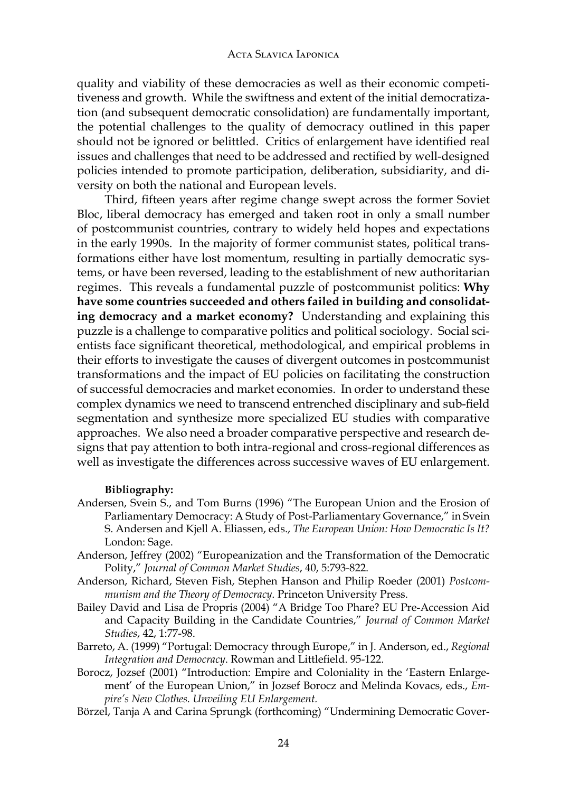quality and viability of these democracies as well as their economic competitiveness and growth. While the swiftness and extent of the initial democratization (and subsequent democratic consolidation) are fundamentally important, the potential challenges to the quality of democracy outlined in this paper should not be ignored or belittled. Critics of enlargement have identified real issues and challenges that need to be addressed and rectified by well-designed policies intended to promote participation, deliberation, subsidiarity, and diversity on both the national and European levels.

Third, fifteen years after regime change swept across the former Soviet Bloc, liberal democracy has emerged and taken root in only a small number of postcommunist countries, contrary to widely held hopes and expectations in the early 1990s. In the majority of former communist states, political transformations either have lost momentum, resulting in partially democratic systems, or have been reversed, leading to the establishment of new authoritarian regimes. This reveals a fundamental puzzle of postcommunist politics: **Why have some countries succeeded and others failed in building and consolidating democracy and a market economy?** Understanding and explaining this puzzle is a challenge to comparative politics and political sociology. Social scientists face significant theoretical, methodological, and empirical problems in their efforts to investigate the causes of divergent outcomes in postcommunist transformations and the impact of EU policies on facilitating the construction of successful democracies and market economies. In order to understand these complex dynamics we need to transcend entrenched disciplinary and sub-field segmentation and synthesize more specialized EU studies with comparative approaches. We also need a broader comparative perspective and research designs that pay attention to both intra-regional and cross-regional differences as well as investigate the differences across successive waves of EU enlargement.

#### **Bibliography:**

- Andersen, Svein S., and Tom Burns (1996) "The European Union and the Erosion of Parliamentary Democracy: A Study of Post-Parliamentary Governance," in Svein S. Andersen and Kjell A. Eliassen, eds., *The European Union: How Democratic Is It?* London: Sage.
- Anderson, Jeffrey (2002) "Europeanization and the Transformation of the Democratic Polity," *Journal of Common Market Studies*, 40, 5:793-822.
- Anderson, Richard, Steven Fish, Stephen Hanson and Philip Roeder (2001) *Postcommunism and the Theory of Democracy*. Princeton University Press.
- Bailey David and Lisa de Propris (2004) "A Bridge Too Phare? EU Pre-Accession Aid and Capacity Building in the Candidate Countries," *Journal of Common Market Studies*, 42, 1:77-98.
- Barreto, A. (1999) "Portugal: Democracy through Europe," in J. Anderson, ed., *Regional Integration and Democracy*. Rowman and Littlefield. 95-122.
- Borocz, Jozsef (2001) "Introduction: Empire and Coloniality in the 'Eastern Enlargement' of the European Union," in Jozsef Borocz and Melinda Kovacs, eds., *Empire's New Clothes. Unveiling EU Enlargement.*
- Börzel, Tanja A and Carina Sprungk (forthcoming) "Undermining Democratic Gover-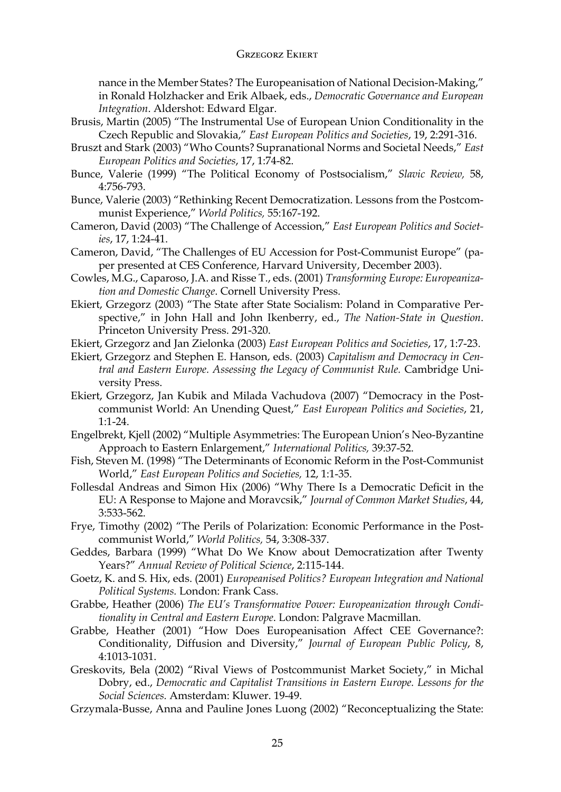nance in the Member States? The Europeanisation of National Decision-Making," in Ronald Holzhacker and Erik Albaek, eds., *Democratic Governance and European Integration*. Aldershot: Edward Elgar.

- Brusis, Martin (2005) "The Instrumental Use of European Union Conditionality in the Czech Republic and Slovakia," *East European Politics and Societies*, 19, 2:291-316.
- Bruszt and Stark (2003) "Who Counts? Supranational Norms and Societal Needs," *East European Politics and Societies*, 17, 1:74-82.
- Bunce, Valerie (1999) "The Political Economy of Postsocialism," *Slavic Review,* 58, 4:756-793.
- Bunce, Valerie (2003) "Rethinking Recent Democratization. Lessons from the Postcommunist Experience," *World Politics,* 55:167-192.
- Cameron, David (2003) "The Challenge of Accession," *East European Politics and Societies*, 17, 1:24-41.
- Cameron, David, "The Challenges of EU Accession for Post-Communist Europe" (paper presented at CES Conference, Harvard University, December 2003).
- Cowles, M.G., Caparoso, J.A. and Risse T., eds. (2001) *Transforming Europe: Europeanization and Domestic Change*. Cornell University Press.
- Ekiert, Grzegorz (2003) "The State after State Socialism: Poland in Comparative Perspective," in John Hall and John Ikenberry, ed., *The Nation-State in Question*. Princeton University Press. 291-320.
- Ekiert, Grzegorz and Jan Zielonka (2003) *East European Politics and Societies*, 17, 1:7-23.
- Ekiert, Grzegorz and Stephen E. Hanson, eds. (2003) *Capitalism and Democracy in Central and Eastern Europe. Assessing the Legacy of Communist Rule.* Cambridge University Press.
- Ekiert, Grzegorz, Jan Kubik and Milada Vachudova (2007) "Democracy in the Postcommunist World: An Unending Quest," *East European Politics and Societies*, 21, 1:1-24.
- Engelbrekt, Kjell (2002) "Multiple Asymmetries: The European Union's Neo-Byzantine Approach to Eastern Enlargement," *International Politics,* 39:37-52.
- Fish, Steven M. (1998) "The Determinants of Economic Reform in the Post-Communist World," *East European Politics and Societies,* 12, 1:1-35.
- Follesdal Andreas and Simon Hix (2006) "Why There Is a Democratic Deficit in the EU: A Response to Majone and Moravcsik," *Journal of Common Market Studies*, 44, 3:533-562.
- Frye, Timothy (2002) "The Perils of Polarization: Economic Performance in the Postcommunist World," *World Politics,* 54, 3:308-337.
- Geddes, Barbara (1999) "What Do We Know about Democratization after Twenty Years?" *Annual Review of Political Science*, 2:115-144.
- Goetz, K. and S. Hix, eds. (2001) *Europeanised Politics? European Integration and National Political Systems.* London: Frank Cass.
- Grabbe, Heather (2006) *The EU's Transformative Power: Europeanization through Conditionality in Central and Eastern Europe*. London: Palgrave Macmillan.
- Grabbe, Heather (2001) "How Does Europeanisation Affect CEE Governance?: Conditionality, Diffusion and Diversity," *Journal of European Public Policy*, 8, 4:1013-1031.
- Greskovits, Bela (2002) "Rival Views of Postcommunist Market Society," in Michal Dobry, ed., *Democratic and Capitalist Transitions in Eastern Europe. Lessons for the Social Sciences.* Amsterdam: Kluwer. 19-49.
- Grzymala-Busse, Anna and Pauline Jones Luong (2002) "Reconceptualizing the State: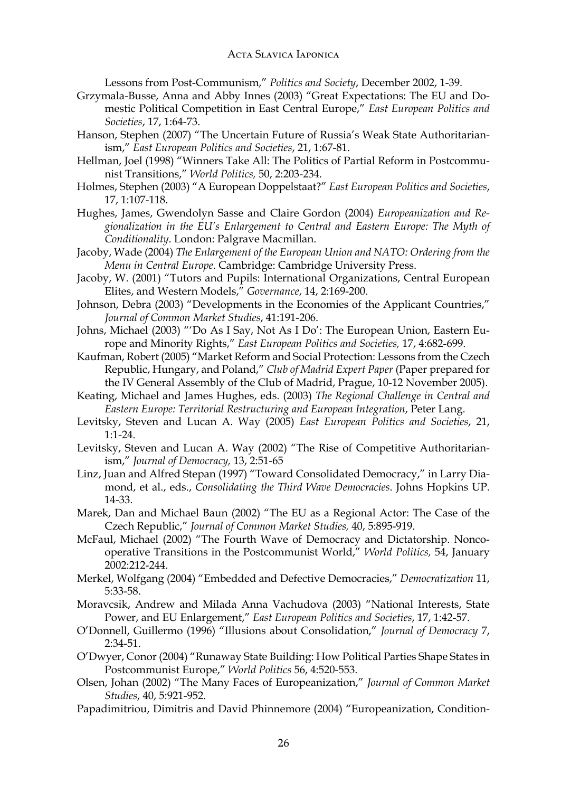## Acta Slavica Iaponica

Lessons from Post-Communism," *Politics and Society*, December 2002, 1-39.

- Grzymala-Busse, Anna and Abby Innes (2003) "Great Expectations: The EU and Domestic Political Competition in East Central Europe," *East European Politics and Societies*, 17, 1:64-73.
- Hanson, Stephen (2007) "The Uncertain Future of Russia's Weak State Authoritarianism," *East European Politics and Societies*, 21, 1:67-81.
- Hellman, Joel (1998) "Winners Take All: The Politics of Partial Reform in Postcommunist Transitions," *World Politics,* 50, 2:203-234.
- Holmes, Stephen (2003) "A European Doppelstaat?" *East European Politics and Societies*, 17, 1:107-118.
- Hughes, James, Gwendolyn Sasse and Claire Gordon (2004) *Europeanization and Regionalization in the EU's Enlargement to Central and Eastern Europe: The Myth of Conditionality*. London: Palgrave Macmillan.
- Jacoby, Wade (2004) *The Enlargement of the European Union and NATO: Ordering from the Menu in Central Europe*. Cambridge: Cambridge University Press.
- Jacoby, W. (2001) "Tutors and Pupils: International Organizations, Central European Elites, and Western Models," *Governance*, 14, 2:169-200.
- Johnson, Debra (2003) "Developments in the Economies of the Applicant Countries," *Journal of Common Market Studies*, 41:191-206.
- Johns, Michael (2003) "'Do As I Say, Not As I Do': The European Union, Eastern Europe and Minority Rights," *East European Politics and Societies,* 17, 4:682-699.
- Kaufman, Robert (2005) "Market Reform and Social Protection: Lessons from the Czech Republic, Hungary, and Poland," *Club of Madrid Expert Paper* (Paper prepared for the IV General Assembly of the Club of Madrid, Prague, 10-12 November 2005).
- Keating, Michael and James Hughes, eds. (2003) *The Regional Challenge in Central and Eastern Europe: Territorial Restructuring and European Integration*, Peter Lang.
- Levitsky, Steven and Lucan A. Way (2005) *East European Politics and Societies*, 21, 1:1-24.
- Levitsky, Steven and Lucan A. Way (2002) "The Rise of Competitive Authoritarianism," *Journal of Democracy,* 13, 2:51-65
- Linz, Juan and Alfred Stepan (1997) "Toward Consolidated Democracy," in Larry Diamond, et al., eds., *Consolidating the Third Wave Democracies*. Johns Hopkins UP. 14-33.
- Marek, Dan and Michael Baun (2002) "The EU as a Regional Actor: The Case of the Czech Republic," *Journal of Common Market Studies,* 40, 5:895-919.
- McFaul, Michael (2002) "The Fourth Wave of Democracy and Dictatorship. Noncooperative Transitions in the Postcommunist World," *World Politics,* 54, January 2002:212-244.
- Merkel, Wolfgang (2004) "Embedded and Defective Democracies," *Democratization* 11, 5:33-58.
- Moravcsik, Andrew and Milada Anna Vachudova (2003) "National Interests, State Power, and EU Enlargement," *East European Politics and Societies*, 17, 1:42-57.
- O'Donnell, Guillermo (1996) "Illusions about Consolidation," *Journal of Democracy* 7, 2:34-51.
- O'Dwyer, Conor (2004) "Runaway State Building: How Political Parties Shape States in Postcommunist Europe," *World Politics* 56, 4:520-553.
- Olsen, Johan (2002) "The Many Faces of Europeanization," *Journal of Common Market Studies*, 40, 5:921-952.
- Papadimitriou, Dimitris and David Phinnemore (2004) "Europeanization, Condition-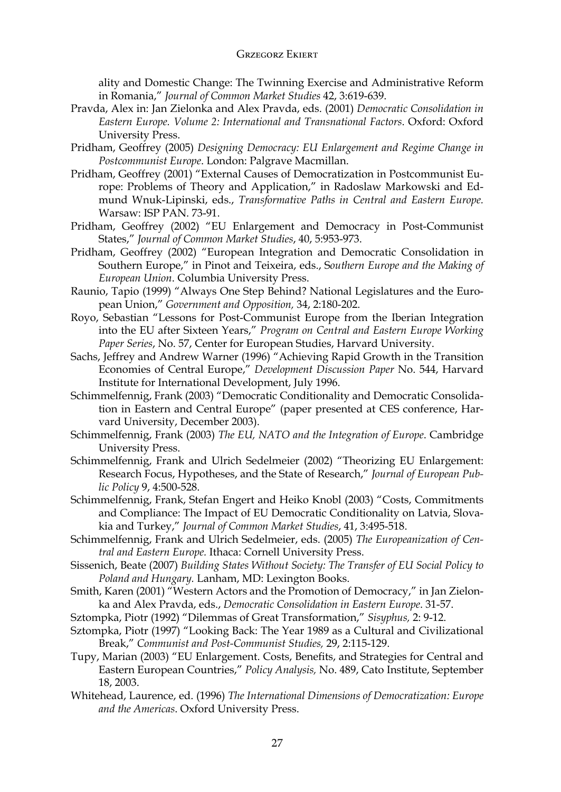ality and Domestic Change: The Twinning Exercise and Administrative Reform in Romania," *Journal of Common Market Studies* 42, 3:619-639.

- Pravda, Alex in: Jan Zielonka and Alex Pravda, eds. (2001) *Democratic Consolidation in Eastern Europe. Volume 2: International and Transnational Factors*. Oxford: Oxford University Press.
- Pridham, Geoffrey (2005) *Designing Democracy: EU Enlargement and Regime Change in Postcommunist Europe*. London: Palgrave Macmillan.
- Pridham, Geoffrey (2001) "External Causes of Democratization in Postcommunist Europe: Problems of Theory and Application," in Radoslaw Markowski and Edmund Wnuk-Lipinski, eds., *Transformative Paths in Central and Eastern Europe.* Warsaw: ISP PAN. 73-91.
- Pridham, Geoffrey (2002) "EU Enlargement and Democracy in Post-Communist States," *Journal of Common Market Studies*, 40, 5:953-973.
- Pridham, Geoffrey (2002) "European Integration and Democratic Consolidation in Southern Europe," in Pinot and Teixeira, eds., S*outhern Europe and the Making of European Union*. Columbia University Press.
- Raunio, Tapio (1999) "Always One Step Behind? National Legislatures and the European Union," *Government and Opposition,* 34, 2:180-202.
- Royo, Sebastian "Lessons for Post-Communist Europe from the Iberian Integration into the EU after Sixteen Years," *Program on Central and Eastern Europe Working Paper Series*, No. 57, Center for European Studies, Harvard University.
- Sachs, Jeffrey and Andrew Warner (1996) "Achieving Rapid Growth in the Transition Economies of Central Europe," *Development Discussion Paper* No. 544, Harvard Institute for International Development, July 1996.
- Schimmelfennig, Frank (2003) "Democratic Conditionality and Democratic Consolidation in Eastern and Central Europe" (paper presented at CES conference, Harvard University, December 2003).
- Schimmelfennig, Frank (2003) *The EU, NATO and the Integration of Europe*. Cambridge University Press.
- Schimmelfennig, Frank and Ulrich Sedelmeier (2002) "Theorizing EU Enlargement: Research Focus, Hypotheses, and the State of Research," *Journal of European Public Policy* 9, 4:500-528.
- Schimmelfennig, Frank, Stefan Engert and Heiko Knobl (2003) "Costs, Commitments and Compliance: The Impact of EU Democratic Conditionality on Latvia, Slovakia and Turkey," *Journal of Common Market Studies*, 41, 3:495-518.
- Schimmelfennig, Frank and Ulrich Sedelmeier, eds. (2005) *The Europeanization of Central and Eastern Europe.* Ithaca: Cornell University Press.
- Sissenich, Beate (2007) *Building States Without Society: The Transfer of EU Social Policy to Poland and Hungary.* Lanham, MD: Lexington Books.
- Smith, Karen (2001) "Western Actors and the Promotion of Democracy," in Jan Zielonka and Alex Pravda, eds., *Democratic Consolidation in Eastern Europe*. 31-57.
- Sztompka, Piotr (1992) "Dilemmas of Great Transformation," *Sisyphus,* 2: 9-12.
- Sztompka, Piotr (1997) "Looking Back: The Year 1989 as a Cultural and Civilizational Break," *Communist and Post-Communist Studies,* 29, 2:115-129.
- Tupy, Marian (2003) "EU Enlargement. Costs, Benefits, and Strategies for Central and Eastern European Countries," *Policy Analysis,* No. 489, Cato Institute, September 18, 2003.
- Whitehead, Laurence, ed. (1996) *The International Dimensions of Democratization: Europe and the Americas*. Oxford University Press.